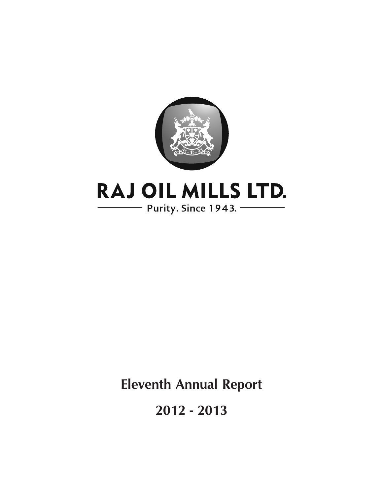

Eleventh Annual Report

2012 - 2013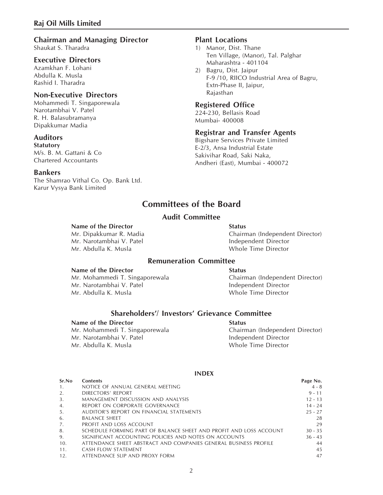# Chairman and Managing Director

Shaukat S. Tharadra

### Executive Directors

Azamkhan F. Lohani Abdulla K. Musla Rashid I. Tharadra

### Non-Executive Directors

Mohammedi T. Singaporewala Narotambhai V. Patel R. H. Balasubramanya Dipakkumar Madia

### Auditors

**Statutory** M/s. B. M. Gattani & Co Chartered Accountants

### Bankers

The Shamrao Vithal Co. Op. Bank Ltd. Karur Vysya Bank Limited

### Plant Locations

1) Manor, Dist. Thane Ten Village, (Manor), Tal. Palghar Maharashtra - 401104

2) Bagru, Dist. Jaipur F-9 /10, RIICO Industrial Area of Bagru, Extn-Phase II, Jaipur, Rajasthan

### Registered Office

224-230, Bellasis Road Mumbai- 400008

### Registrar and Transfer Agents

Bigshare Services Private Limited E-2/3, Ansa Industrial Estate Sakivihar Road, Saki Naka, Andheri (East), Mumbai - 400072

# Committees of the Board

### Audit Committee

**Name of the Director**<br>
Mr. Dipakkumar R. Madia<br>
Chairn Mr. Narotambhai V. Patel **Independent Director**<br>
Mr. Abdulla K. Musla **Independent Director**<br>
Whole Time Director Mr. Abdulla K. Musla

Chairman (Independent Director)

### Remuneration Committee

### Name of the Director Status

Mr. Mohammedi T. Singaporewala Chairman (Independent Director) Mr. Narotambhai V. Patel **Independent Director** Independent Director Mr. Abdulla K. Musla Whole Time Director

## Shareholders'/ Investors' Grievance Committee

### Name of the Director Status

Mr. Mohammedi T. Singaporewala Chairman (Independent Director) Mr. Narotambhai V. Patel **Independent Director** Mr. Abdulla K. Musla Whole Time Director

### INDEX

| Sr.No | <b>Contents</b>                                                    | Page No.  |
|-------|--------------------------------------------------------------------|-----------|
|       | NOTICE OF ANNUAL GENERAL MEETING                                   | $4 - 8$   |
| 2.    | DIRECTORS' REPORT                                                  | $9 - 11$  |
| 3.    | MANAGEMENT DISCUSSION AND ANALYSIS                                 | $12 - 13$ |
| 4.    | REPORT ON CORPORATE GOVERNANCE                                     | 14 - 24   |
| 5.    | AUDITOR'S REPORT ON FINANCIAL STATEMENTS                           | $25 - 27$ |
| 6.    | <b>BALANCE SHEET</b>                                               | 28        |
| 7.    | PROFIT AND LOSS ACCOUNT                                            | 29        |
| 8.    | SCHEDULE FORMING PART OF BALANCE SHEET AND PROFIT AND LOSS ACCOUNT | $30 - 35$ |
| 9.    | SIGNIFICANT ACCOUNTING POLICIES AND NOTES ON ACCOUNTS              | $36 - 43$ |
| 10.   | ATTENDANCE SHEET ABSTRACT AND COMPANIES GENERAL BUSINESS PROFILE   | 44        |
| 11.   | CASH FLOW STATEMENT                                                | 45        |
| 12.   | ATTENDANCE SLIP AND PROXY FORM                                     | 47        |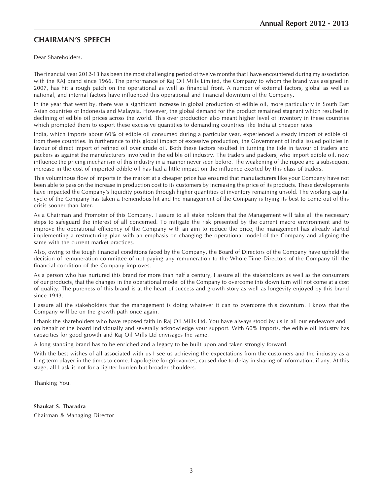# CHAIRMAN'S SPEECH

Dear Shareholders,

The financial year 2012-13 has been the most challenging period of twelve months that I have encountered during my association with the RAJ brand since 1966. The performance of Raj Oil Mills Limited, the Company to whom the brand was assigned in 2007, has hit a rough patch on the operational as well as financial front. A number of external factors, global as well as national, and internal factors have influenced this operational and financial downturn of the Company.

In the year that went by, there was a significant increase in global production of edible oil, more particularly in South East Asian countries of Indonesia and Malaysia. However, the global demand for the product remained stagnant which resulted in declining of edible oil prices across the world. This over production also meant higher level of inventory in these countries which prompted them to export these excessive quantities to demanding countries like India at cheaper rates.

India, which imports about 60% of edible oil consumed during a particular year, experienced a steady import of edible oil from these countries. In furtherance to this global impact of excessive production, the Government of India issued policies in favour of direct import of refined oil over crude oil. Both these factors resulted in turning the tide in favour of traders and packers as against the manufacturers involved in the edible oil industry. The traders and packers, who import edible oil, now influence the pricing mechanism of this industry in a manner never seen before. The weakening of the rupee and a subsequent increase in the cost of imported edible oil has had a little impact on the influence exerted by this class of traders.

This voluminous flow of imports in the market at a cheaper price has ensured that manufacturers like your Company have not been able to pass on the increase in production cost to its customers by increasing the price of its products. These developments have impacted the Company's liquidity position through higher quantities of inventory remaining unsold. The working capital cycle of the Company has taken a tremendous hit and the management of the Company is trying its best to come out of this crisis sooner than later.

As a Chairman and Promoter of this Company, I assure to all stake holders that the Management will take all the necessary steps to safeguard the interest of all concerned. To mitigate the risk presented by the current macro environment and to improve the operational efficiency of the Company with an aim to reduce the price, the management has already started implementing a restructuring plan with an emphasis on changing the operational model of the Company and aligning the same with the current market practices.

Also, owing to the tough financial conditions faced by the Company, the Board of Directors of the Company have upheld the decision of remuneration committee of not paying any remuneration to the Whole-Time Directors of the Company till the financial condition of the Company improves.

As a person who has nurtured this brand for more than half a century, I assure all the stakeholders as well as the consumers of our products, that the changes in the operational model of the Company to overcome this down turn will not come at a cost of quality. The pureness of this brand is at the heart of success and growth story as well as longevity enjoyed by this brand since 1943.

I assure all the stakeholders that the management is doing whatever it can to overcome this downturn. I know that the Company will be on the growth path once again.

I thank the shareholders who have reposed faith in Raj Oil Mills Ltd. You have always stood by us in all our endeavors and I on behalf of the board individually and severally acknowledge your support. With 60% imports, the edible oil industry has capacities for good growth and Raj Oil Mills Ltd envisages the same.

A long standing brand has to be enriched and a legacy to be built upon and taken strongly forward.

With the best wishes of all associated with us I see us achieving the expectations from the customers and the industry as a long term player in the times to come. I apologize for grievances, caused due to delay in sharing of information, if any. At this stage, all I ask is not for a lighter burden but broader shoulders.

Thanking You.

### Shaukat S. Tharadra

Chairman & Managing Director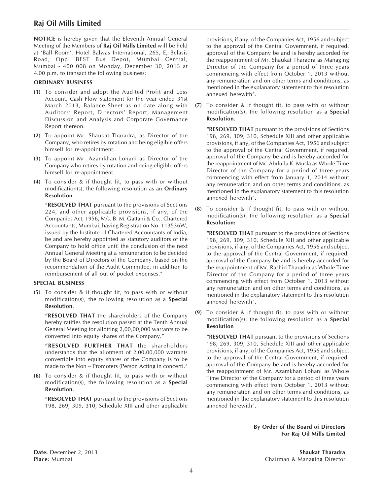NOTICE is hereby given that the Eleventh Annual General Meeting of the Members of Raj Oil Mills Limited will be held at 'Ball Room', Hotel Balwas International, 265, E, Belasis Road, Opp. BEST Bus Depot, Mumbai Central, Mumbai - 400 008 on Monday, December 30, 2013 at 4.00 p.m. to transact the following business:

### ORDINARY BUSINESS

- (1) To consider and adopt the Audited Profit and Loss Account, Cash Flow Statement for the year ended 31st March 2013, Balance Sheet as on date along with Auditors' Report, Directors' Report, Management Discussion and Analysis and Corporate Governance Report thereon.
- (2) To appoint Mr. Shaukat Tharadra, as Director of the Company, who retires by rotation and being eligible offers himself for re-appointment.
- (3) To appoint Mr. Azamkhan Lohani as Director of the Company who retires by rotation and being eligible offers himself for re-appointment.
- (4) To consider & if thought fit, to pass with or without modification(s), the following resolution as an Ordinary Resolution.

"RESOLVED THAT pursuant to the provisions of Sections 224, and other applicable provisions, if any, of the Companies Act, 1956, M/s. B. M. Gattani & Co., Chartered Accountants, Mumbai, having Registration No. 113536W, issued by the Institute of Chartered Accountants of India, be and are hereby appointed as statutory auditors of the Company to hold office until the conclusion of the next Annual General Meeting at a remuneration to be decided by the Board of Directors of the Company, based on the recommendation of the Audit Committee, in addition to reimbursement of all out of pocket expenses."

### SPECIAL BUSINESS

(5) To consider & if thought fit, to pass with or without modification(s), the following resolution as a Special Resolution.

"RESOLVED THAT the shareholders of the Company hereby ratifies the resolution passed at the Tenth Annual General Meeting for allotting 2,00,00,000 warrants to be converted into equity shares of the Company."

"RESOLVED FURTHER THAT the shareholders understands that the allotment of 2,00,00,000 warrants convertible into equity shares of the Company is to be made to the Non – Promoters (Person Acting in concert)."

(6) To consider & if thought fit, to pass with or without modification(s), the following resolution as a Special Resolution.

"RESOLVED THAT pursuant to the provisions of Sections 198, 269, 309, 310, Schedule XIII and other applicable

provisions, if any, of the Companies Act, 1956 and subject to the approval of the Central Government, if required, approval of the Company be and is hereby accorded for the reappointment of Mr. Shaukat Tharadra as Managing Director of the Company for a period of three years commencing with effect from October 1, 2013 without any remuneration and on other terms and conditions, as mentioned in the explanatory statement to this resolution annexed herewith".

(7) To consider & if thought fit, to pass with or without modification(s), the following resolution as a Special Resolution.

"RESOLVED THAT pursuant to the provisions of Sections 198, 269, 309, 310, Schedule XIII and other applicable provisions, if any, of the Companies Act, 1956 and subject to the approval of the Central Government, if required, approval of the Company be and is hereby accorded for the reappointment of Mr. Abdulla K. Musla as Whole Time Director of the Company for a period of three years commencing with effect from January 1, 2014 without any remuneration and on other terms and conditions, as mentioned in the explanatory statement to this resolution annexed herewith".

(8) To consider  $&$  if thought fit, to pass with or without modification(s), the following resolution as a Special Resolution:

"RESOLVED THAT pursuant to the provisions of Sections 198, 269, 309, 310, Schedule XIII and other applicable provisions, if any, of the Companies Act, 1956 and subject to the approval of the Central Government, if required, approval of the Company be and is hereby accorded for the reappointment of Mr. Rashid Tharadra as Whole Time Director of the Company for a period of three years commencing with effect from October 1, 2013 without any remuneration and on other terms and conditions, as mentioned in the explanatory statement to this resolution annexed herewith".

(9) To consider & if thought fit, to pass with or without modification(s), the following resolution as a Special Resolution

"RESOLVED THAT pursuant to the provisions of Sections 198, 269, 309, 310, Schedule XIII and other applicable provisions, if any, of the Companies Act, 1956 and subject to the approval of the Central Government, if required, approval of the Company be and is hereby accorded for the reappointment of Mr. Azamkhan Lohani as Whole Time Director of the Company for a period of three years commencing with effect from October 1, 2013 without any remuneration and on other terms and conditions, as mentioned in the explanatory statement to this resolution annexed herewith".

> By Order of the Board of Directors For Raj Oil Mills Limited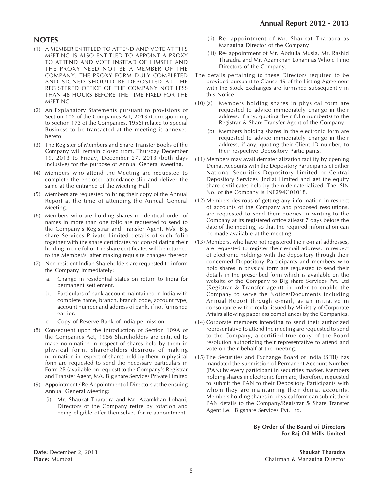### NOTES

- (1) A MEMBER ENTITLED TO ATTEND AND VOTE AT THIS MEETING IS ALSO ENTITLED TO APPOINT A PROXY TO ATTEND AND VOTE INSTEAD OF HIMSELF AND THE PROXY NEED NOT BE A MEMBER OF THE COMPANY. THE PROXY FORM DULY COMPLETED AND SIGNED SHOULD BE DEPOSITED AT THE REGISTERED OFFICE OF THE COMPANY NOT LESS THAN 48 HOURS BEFORE THE TIME FIXED FOR THE MEETING.
- (2) An Explanatory Statements pursuant to provisions of Section 102 of the Companies Act, 2013 (Corresponding to Section 173 of the Companies, 1956) related to Special Business to be transacted at the meeting is annexed hereto.
- (3) The Register of Members and Share Transfer Books of the Company will remain closed from, Thursday December 19, 2013 to Friday, December 27, 2013 (both days inclusive) for the purpose of Annual General Meeting.
- (4) Members who attend the Meeting are requested to complete the enclosed attendance slip and deliver the same at the entrance of the Meeting Hall.
- (5) Members are requested to bring their copy of the Annual Report at the time of attending the Annual General Meeting.
- (6) Members who are holding shares in identical order of names in more than one folio are requested to send to the Company's Registrar and Transfer Agent, M/s. Big share Services Private Limited details of such folio together with the share certificates for consolidating their holding in one folio. The share certificates will be returned to the Member/s. after making requisite changes thereon
- (7) Non-resident Indian Shareholders are requested to inform the Company immediately:
	- a. Change in residential status on return to India for permanent settlement.
	- b. Particulars of bank account maintained in India with complete name, branch, branch code, account type, account number and address of bank, if not furnished earlier.
	- c. Copy of Reserve Bank of India permission.
- (8) Consequent upon the introduction of Section 109A of the Companies Act, 1956 Shareholders are entitled to make nomination in respect of shares held by them in physical form. Shareholders desirous of making nomination in respect of shares held by them in physical form are requested to send the necessary particulars in Form 2B (available on request) to the Company's Registrar and Transfer Agent, M/s. Big share Services Private Limited
- (9) Appointment / Re-Appointment of Directors at the ensuing Annual General Meeting:
	- (i) Mr. Shaukat Tharadra and Mr. Azamkhan Lohani, Directors of the Company retire by rotation and being eligible offer themselves for re-appointment.
- (ii) Re- appointment of Mr. Shaukat Tharadra as Managing Director of the Company
- (iii) Re- appointment of Mr. Abdulla Musla, Mr. Rashid Tharadra and Mr. Azamkhan Lohani as Whole Time Directors of the Company.
- The details pertaining to these Directors required to be provided pursuant to Clause 49 of the Listing Agreement with the Stock Exchanges are furnished subsequently in this Notice.
- (10) (a) Members holding shares in physical form are requested to advice immediately change in their address, if any, quoting their folio number(s) to the Registrar & Share Transfer Agent of the Company.
	- (b) Members holding shares in the electronic form are requested to advice immediately change in their address, if any, quoting their Client ID number, to their respective Depository Participants.
- (11) Members may avail dematerialization facility by opening Demat Accounts with the Depository Participants of either National Securities Depository Limited or Central Depository Services (India) Limited and get the equity share certificates held by them dematerialized. The ISIN No. of the Company is INE294G01018.
- (12) Members desirous of getting any information in respect of accounts of the Company and proposed resolutions, are requested to send their queries in writing to the Company at its registered office atleast 7 days before the date of the meeting, so that the required information can be made available at the meeting.
- (13) Members, who have not registered their e-mail addresses, are requested to register their e-mail address, in respect of electronic holdings with the depository through their concerned Depository Participants and members who hold shares in physical form are requested to send their details in the prescribed form which is available on the website of the Company to Big share Services Pvt. Ltd (Registrar & Transfer agent) in order to enable the Company to serve the Notice/Documents including Annual Report through e-mail, as an initiative in consonance with circular issued by Ministry of Corporate Affairs allowing paperless compliances by the Companies.
- (14) Corporate members intending to send their authorized representative to attend the meeting are requested to send to the Company, a certified true copy of the Board resolution authorizing their representative to attend and vote on their behalf at the meeting.
- (15) The Securities and Exchange Board of India (SEBI) has mandated the submission of Permanent Account Number (PAN) by every participant in securities market. Members holding shares in electronic form are, therefore, requested to submit the PAN to their Depository Participants with whom they are maintaining their demat accounts. Members holding shares in physical form can submit their PAN details to the Company/Registrar & Share Transfer Agent i.e. Bigshare Services Pvt. Ltd.

By Order of the Board of Directors For Raj Oil Mills Limited

Date: December 2, 2013 Shaukat Tharadra Shaukat Tharadra Shaukat Tharadra Shaukat Tharadra Shaukat Tharadra Shaukat Tharadra Shaukat Tharadra Shaukat Tharadra Shaukat Tharadra Shaukat Tharadra Shaukat Tharadra Shaukat Thar **Place:** Mumbai Chairman & Managing Director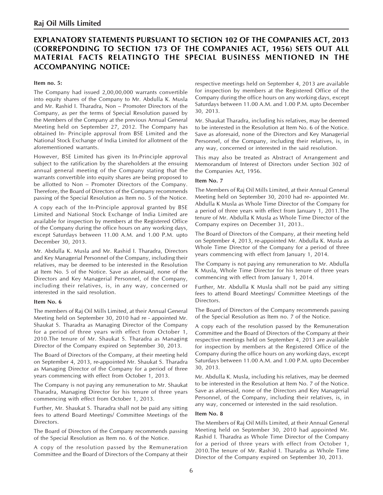## EXPLANATORY STATEMENTS PURSUANT TO SECTION 102 OF THE COMPANIES ACT, 2013 (CORREPONDING TO SECTION 173 OF THE COMPANIES ACT, 1956) SETS OUT ALL MATERIAL FACTS RELATINGTO THE SPECIAL BUSINESS MENTIONED IN THE ACCOMPANYING NOTICE:

### Item no. 5:

The Company had issued 2,00,00,000 warrants convertible into equity shares of the Company to Mr. Abdulla K. Musla and Mr. Rashid I. Tharadra, Non – Promoter Directors of the Company, as per the terms of Special Resolution passed by the Members of the Company at the previous Annual General Meeting held on September 27, 2012. The Company has obtained In- Principle approval from BSE Limited and the National Stock Exchange of India Limited for allotment of the aforementioned warrants.

However, BSE Limited has given its In-Principle approval subject to the ratification by the shareholders at the ensuing annual general meeting of the Company stating that the warrants convertible into equity shares are being proposed to be allotted to Non – Promoter Directors of the Company. Therefore, the Board of Directors of the Company recommends passing of the Special Resolution as Item no. 5 of the Notice.

A copy each of the In-Principle approval granted by BSE Limited and National Stock Exchange of India Limited are available for inspection by members at the Registered Office of the Company during the office hours on any working days, except Saturdays between 11.00 A.M. and 1.00 P.M. upto December 30, 2013.

Mr. Abdulla K. Musla and Mr. Rashid I. Tharadra, Directors and Key Managerial Personnel of the Company, including their relatives, may be deemed to be interested in the Resolution at Item No. 5 of the Notice. Save as aforesaid, none of the Directors and Key Managerial Personnel, of the Company, including their relatives, is, in any way, concerned or interested in the said resolution.

### Item No. 6

The members of Raj Oil Mills Limited, at their Annual General Meeting held on September 30, 2010 had re - appointed Mr. Shaukat S. Tharadra as Managing Director of the Company for a period of three years with effect from October 1, 2010.The tenure of Mr. Shaukat S. Tharadra as Managing Director of the Company expired on September 30, 2013.

The Board of Directors of the Company, at their meeting held on September 4, 2013, re-appointed Mr. Shaukat S. Tharadra as Managing Director of the Company for a period of three years commencing with effect from October 1, 2013.

The Company is not paying any remuneration to Mr. Shaukat Tharadra, Managing Director for his tenure of three years commencing with effect from October 1, 2013.

Further, Mr. Shaukat S. Tharadra shall not be paid any sitting fees to attend Board Meetings/ Committee Meetings of the Directors.

The Board of Directors of the Company recommends passing of the Special Resolution as Item no. 6 of the Notice.

A copy of the resolution passed by the Remuneration Committee and the Board of Directors of the Company at their respective meetings held on September 4, 2013 are available for inspection by members at the Registered Office of the Company during the office hours on any working days, except Saturdays between 11.00 A.M. and 1.00 P.M. upto December 30, 2013.

Mr. Shaukat Tharadra, including his relatives, may be deemed to be interested in the Resolution at Item No. 6 of the Notice. Save as aforesaid, none of the Directors and Key Managerial Personnel, of the Company, including their relatives, is, in any way, concerned or interested in the said resolution.

This may also be treated as Abstract of Arrangement and Memorandum of Interest of Directors under Section 302 of the Companies Act, 1956.

### Item No. 7

The Members of Raj Oil Mills Limited, at their Annual General Meeting held on September 30, 2010 had re- appointed Mr. Abdulla K Musla as Whole Time Director of the Company for a period of three years with effect from January 1, 2011.The tenure of Mr. Abdulla K Musla as Whole Time Director of the Company expires on December 31, 2013..

The Board of Directors of the Company, at their meeting held on September 4, 2013, re-appointed Mr. Abdulla K. Musla as Whole Time Director of the Company for a period of three years commencing with effect from January 1, 2014.

The Company is not paying any remuneration to Mr. Abdulla K Musla, Whole Time Director for his tenure of three years commencing with effect from January 1, 2014.

Further, Mr. Abdulla K Musla shall not be paid any sitting fees to attend Board Meetings/ Committee Meetings of the Directors.

The Board of Directors of the Company recommends passing of the Special Resolution as Item no. 7 of the Notice.

A copy each of the resolution passed by the Remuneration Committee and the Board of Directors of the Company at their respective meetings held on September 4, 2013 are available for inspection by members at the Registered Office of the Company during the office hours on any working days, except Saturdays between 11.00 A.M. and 1.00 P.M. upto December 30, 2013.

Mr. Abdulla K. Musla, including his relatives, may be deemed to be interested in the Resolution at Item No. 7 of the Notice. Save as aforesaid, none of the Directors and Key Managerial Personnel, of the Company, including their relatives, is, in any way, concerned or interested in the said resolution.

### Item No. 8

The Members of Raj Oil Mills Limited, at their Annual General Meeting held on September 30, 2010 had appointed Mr. Rashid I. Tharadra as Whole Time Director of the Company for a period of three years with effect from October 1, 2010.The tenure of Mr. Rashid I. Tharadra as Whole Time Director of the Company expired on September 30, 2013.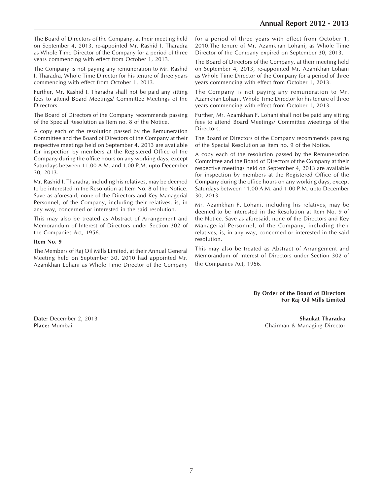The Board of Directors of the Company, at their meeting held on September 4, 2013, re-appointed Mr. Rashid I. Tharadra as Whole Time Director of the Company for a period of three years commencing with effect from October 1, 2013.

The Company is not paying any remuneration to Mr. Rashid I. Tharadra, Whole Time Director for his tenure of three years commencing with effect from October 1, 2013.

Further, Mr. Rashid I. Tharadra shall not be paid any sitting fees to attend Board Meetings/ Committee Meetings of the Directors.

The Board of Directors of the Company recommends passing of the Special Resolution as Item no. 8 of the Notice.

A copy each of the resolution passed by the Remuneration Committee and the Board of Directors of the Company at their respective meetings held on September 4, 2013 are available for inspection by members at the Registered Office of the Company during the office hours on any working days, except Saturdays between 11.00 A.M. and 1.00 P.M. upto December 30, 2013.

Mr. Rashid I. Tharadra, including his relatives, may be deemed to be interested in the Resolution at Item No. 8 of the Notice. Save as aforesaid, none of the Directors and Key Managerial Personnel, of the Company, including their relatives, is, in any way, concerned or interested in the said resolution.

This may also be treated as Abstract of Arrangement and Memorandum of Interest of Directors under Section 302 of the Companies Act, 1956.

#### Item No. 9

The Members of Raj Oil Mills Limited, at their Annual General Meeting held on September 30, 2010 had appointed Mr. Azamkhan Lohani as Whole Time Director of the Company for a period of three years with effect from October 1, 2010.The tenure of Mr. Azamkhan Lohani, as Whole Time Director of the Company expired on September 30, 2013.

The Board of Directors of the Company, at their meeting held on September 4, 2013, re-appointed Mr. Azamkhan Lohani as Whole Time Director of the Company for a period of three years commencing with effect from October 1, 2013.

The Company is not paying any remuneration to Mr. Azamkhan Lohani, Whole Time Director for his tenure of three years commencing with effect from October 1, 2013.

Further, Mr. Azamkhan F. Lohani shall not be paid any sitting fees to attend Board Meetings/ Committee Meetings of the Directors.

The Board of Directors of the Company recommends passing of the Special Resolution as Item no. 9 of the Notice.

A copy each of the resolution passed by the Remuneration Committee and the Board of Directors of the Company at their respective meetings held on September 4, 2013 are available for inspection by members at the Registered Office of the Company during the office hours on any working days, except Saturdays between 11.00 A.M. and 1.00 P.M. upto December 30, 2013.

Mr. Azamkhan F. Lohani, including his relatives, may be deemed to be interested in the Resolution at Item No. 9 of the Notice. Save as aforesaid, none of the Directors and Key Managerial Personnel, of the Company, including their relatives, is, in any way, concerned or interested in the said resolution.

This may also be treated as Abstract of Arrangement and Memorandum of Interest of Directors under Section 302 of the Companies Act, 1956.

> By Order of the Board of Directors For Raj Oil Mills Limited

Date: December 2, 2013 Shaukat Tharadra Shaukat Tharadra Shaukat Tharadra Shaukat Tharadra Shaukat Tharadra Shaukat Tharadra Shaukat Tharadra Shaukat Tharadra Shaukat Tharadra Shaukat Tharadra Shaukat Tharadra Shaukat Thar **Place:** Mumbai Chairman & Managing Director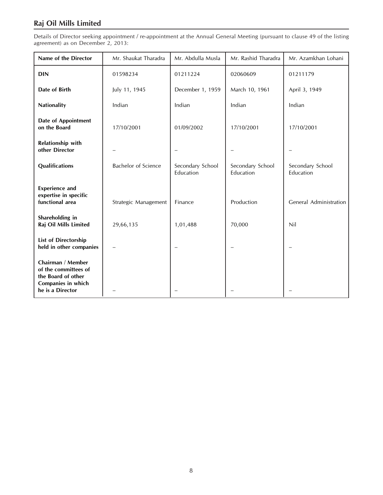# Raj Oil Mills Limited

Details of Director seeking appointment / re-appointment at the Annual General Meeting (pursuant to clause 49 of the listing agreement) as on December 2, 2013:

| Name of the Director                                                                                             | Mr. Shaukat Tharadra       | Mr. Abdulla Musla             | Mr. Rashid Tharadra           | Mr. Azamkhan Lohani           |
|------------------------------------------------------------------------------------------------------------------|----------------------------|-------------------------------|-------------------------------|-------------------------------|
| <b>DIN</b>                                                                                                       | 01598234                   | 01211224                      | 02060609                      | 01211179                      |
| Date of Birth                                                                                                    | July 11, 1945              | December 1, 1959              | March 10, 1961                | April 3, 1949                 |
| Nationality                                                                                                      | Indian                     | Indian                        | Indian                        | Indian                        |
| Date of Appointment<br>on the Board                                                                              | 17/10/2001                 | 01/09/2002                    | 17/10/2001                    | 17/10/2001                    |
| Relationship with<br>other Director                                                                              |                            |                               |                               |                               |
| Qualifications                                                                                                   | <b>Bachelor of Science</b> | Secondary School<br>Education | Secondary School<br>Education | Secondary School<br>Education |
| <b>Experience and</b><br>expertise in specific<br>functional area                                                | Strategic Management       | Finance                       | Production                    | General Administration        |
| Shareholding in<br>Raj Oil Mills Limited                                                                         | 29,66,135                  | 1,01,488                      | 70,000                        | Nil                           |
| List of Directorship<br>held in other companies                                                                  |                            |                               |                               |                               |
| <b>Chairman / Member</b><br>of the committees of<br>the Board of other<br>Companies in which<br>he is a Director |                            |                               |                               |                               |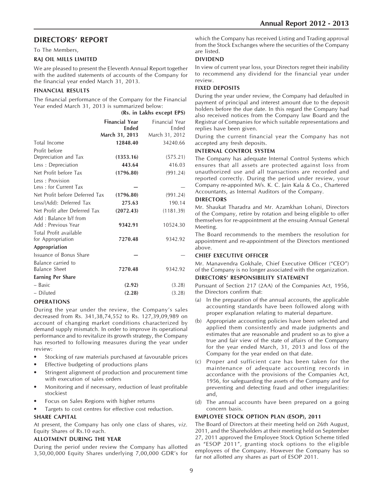### DIRECTORS' REPORT

#### To The Members,

#### RAJ OIL MILLS LIMITED

We are pleased to present the Eleventh Annual Report together with the audited statements of accounts of the Company for the financial year ended March 31, 2013.

#### FINANCIAL RESULTS

The financial performance of the Company for the Financial Year ended March 31, 2013 is summarized below:

#### (Rs. in Lakhs except EPS)

|                                             | <b>Financial Year</b><br><b>Ended</b> | Financial Year<br>Ended |
|---------------------------------------------|---------------------------------------|-------------------------|
|                                             | March 31, 2013                        | March 31, 2012          |
| Total Income                                | 12848.40                              | 34240.66                |
| Profit before                               |                                       |                         |
| Depreciation and Tax                        | (1353.16)                             | (575.21)                |
| Less: Depreciation                          | 443.64                                | 416.03                  |
| Net Profit before Tax                       | (1796.80)                             | (991.24)                |
| Less: Provision<br>Less: for Current Tax    |                                       |                         |
| Net Profit before Deferred Tax              | (1796.80)                             | (991.24)                |
| Less/(Add): Deferred Tax                    | 275.63                                | 190.14                  |
| Net Profit after Deferred Tax               | (2072.43)                             | (1181.39)               |
| Add: Balance b/f from<br>Add: Previous Year | 9342.91                               | 10524.30                |
| Total Profit available<br>for Appropriation | 7270.48                               | 9342.92                 |
| Appropriation                               |                                       |                         |
| Issuance of Bonus Share                     |                                       |                         |
| Balance carried to<br><b>Balance Sheet</b>  | 7270.48                               | 9342.92                 |
| <b>Earning Per Share</b>                    |                                       |                         |
| - Basic                                     | (2.92)                                | (3.28)                  |
| - Diluted                                   | (2.28)                                | (3.28)                  |

### OPERATIONS

During the year under the review, the Company's sales decreased from Rs. 341,38,74,552 to Rs. 127,39,09,989 on account of changing market conditions characterized by demand supply mismatch. In order to improve its operational performance and to revitalize its growth strategy, the Company has resorted to following measures during the year under review:

- Stocking of raw materials purchased at favourable prices
- Effective budgeting of productions plans
- Stringent alignment of production and procurement time with execution of sales orders
- Monitoring and if necessary, reduction of least profitable stockiest
- Focus on Sales Regions with higher returns
- Targets to cost centres for effective cost reduction.

### SHARE CAPITAL

At present, the Company has only one class of shares, viz. Equity Shares of Rs.10 each.

### ALLOTMENT DURING THE YEAR

During the periof under review the Company has allotted 3,50,00,000 Equity Shares underlying 7,00,000 GDR's for

which the Company has received Listing and Trading approval from the Stock Exchanges where the securities of the Company are listed.

### DIVIDEND

In view of current year loss, your Directors regret their inability to recommend any dividend for the financial year under review.

### FIXED DEPOSITS

During the year under review, the Company had defaulted in payment of principal and interest amount due to the deposit holders before the due date. In this regard the Company had also received notices from the Company law Board and the Registrar of Companies for which suitable representations and replies have been given.

During the current financial year the Company has not accepted any fresh deposits.

### INTERNAL CONTROL SYSTEM

The Company has adequate Internal Control Systems which ensures that all assets are protected against loss from unauthorized use and all transactions are recorded and reported correctly. During the period under review, your Company re-appointed M/s. K. C. Jain Kala & Co., Chartered Accountants, as Internal Auditors of the Company.

### DIRECTORS

Mr. Shaukat Tharadra and Mr. Azamkhan Lohani, Directors of the Company, retire by rotation and being eligible to offer themselves for re-appointment at the ensuing Annual General Meeting.

The Board recommends to the members the resolution for appointment and re-appointment of the Directors mentioned above.

### CHIEF EXECUTIVE OFFICER

Mr. Manavendra Gokhale, Chief Executive Officer ("CEO") of the Company is no longer associated with the organization.

### DIRECTORS' RESPONSIBILITY STATEMENT

Pursuant of Section 217 (2AA) of the Companies Act, 1956, the Directors confirm that:

- (a) In the preparation of the annual accounts, the applicable accounting standards have been followed along with proper explanation relating to material departure.
- (b) Appropriate accounting policies have been selected and applied them consistently and made judgments and estimates that are reasonable and prudent so as to give a true and fair view of the state of affairs of the Company for the year ended March, 31, 2013 and loss of the Company for the year ended on that date.
- (c) Proper and sufficient care has been taken for the maintenance of adequate accounting records in accordance with the provisions of the Companies Act, 1956, for safeguarding the assets of the Company and for preventing and detecting fraud and other irregularities: and,
- (d) The annual accounts have been prepared on a going concern basis.

### EMPLOYEE STOCK OPTION PLAN (ESOP), 2011

The Board of Directors at their meeting held on 26th August, 2011, and the Shareholders at their meeting held on September 27, 2011 approved the Employee Stock Option Scheme titled as "ESOP 2011", granting stock options to the eligible employees of the Company. However the Company has so far not allotted any shares as part of ESOP 2011.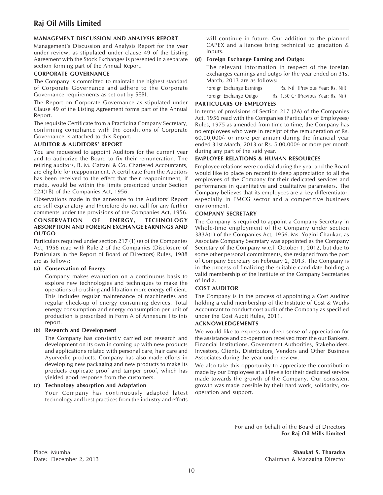### MANAGEMENT DISCUSSION AND ANALYSIS REPORT

Management's Discussion and Analysis Report for the year under review, as stipulated under clause 49 of the Listing Agreement with the Stock Exchanges is presented in a separate section forming part of the Annual Report.

### CORPORATE GOVERNANCE

The Company is committed to maintain the highest standard of Corporate Governance and adhere to the Corporate Governance requirements as set out by SEBI.

The Report on Corporate Governance as stipulated under Clause 49 of the Listing Agreement forms part of the Annual Report.

The requisite Certificate from a Practicing Company Secretary, confirming compliance with the conditions of Corporate Governance is attached to this Report.

### AUDITOR & AUDITORS' REPORT

You are requested to appoint Auditors for the current year and to authorize the Board to fix their remuneration. The retiring auditors, B. M. Gattani & Co, Chartered Accountants, are eligible for reappointment. A certificate from the Auditors has been received to the effect that their reappointment, if made, would be within the limits prescribed under Section 224(1B) of the Companies Act, 1956.

Observations made in the annexure to the Auditors' Report are self explanatory and therefore do not call for any further comments under the provisions of the Companies Act, 1956.

### CONSERVATION OF ENERGY, TECHNOLOGY ABSORPTION AND FOREIGN EXCHANGE EARNINGS AND OUTGO

Particulars required under section 217 (1) (e) of the Companies Act, 1956 read with Rule 2 of the Companies (Disclosure of Particulars in the Report of Board of Directors) Rules, 1988 are as follows:

### (a) Conservation of Energy

Company makes evaluation on a continuous basis to explore new technologies and techniques to make the operations of crushing and filtration more energy efficient. This includes regular maintenance of machineries and regular check-up of energy consuming devices. Total energy consumption and energy consumption per unit of production is prescribed in Form A of Annexure I to this report.

#### (b) Research and Development

The Company has constantly carried out research and development on its own in coming up with new products and applications related with personal care, hair care and Ayurvedic products. Company has also made efforts in developing new packaging and new products to make its products duplicate proof and tamper proof, which has yielded good response from the customers.

### (c) Technology absorption and Adaptation

Your Company has continuously adapted latest technology and best practices from the industry and efforts

will continue in future. Our addition to the planned CAPEX and alliances bring technical up gradation & inputs.

#### (d) Foreign Exchange Earning and Outgo:

The relevant information in respect of the foreign exchanges earnings and outgo for the year ended on 31st March, 2013 are as follows:

Foreign Exchange Earnings Rs. Nil (Previous Year: Rs. Nil) Foreign Exchange Outgo Rs. 1.30 Cr (Previous Year: Rs. Nil)

### PARTICULARS OF EMPLOYEES

In terms of provisions of Section 217 (2A) of the Companies Act, 1956 read with the Companies (Particulars of Employees) Rules, 1975 as amended from time to time, the Company has no employees who were in receipt of the remuneration of Rs. 60,00,000/- or more per annum during the financial year ended 31st March, 2013 or Rs. 5,00,000/- or more per month during any part of the said year.

### EMPLOYEE RELATIONS & HUMAN RESOURCES

Employee relations were cordial during the year and the Board would like to place on record its deep appreciation to all the employees of the Company for their dedicated services and performance in quantitative and qualitative parameters. The Company believes that its employees are a key differentiator, especially in FMCG sector and a competitive business environment.

### COMPANY SECRETARY

The Company is required to appoint a Company Secretary in Whole-time employment of the Company under section 383A(1) of the Companies Act, 1956. Ms. Yogini Chaukar, as Associate Company Secretary was appointed as the Company Secretary of the Company w.e.f. October 1, 2012, but due to some other personal commitments, she resigned from the post of Company Secretary on February 2, 2013. The Company is in the process of finalizing the suitable candidate holding a valid membership of the Institute of the Company Secretaries of India.

### COST AUDITOR

The Company is in the process of appointing a Cost Auditor holding a valid membership of the Institute of Cost & Works Accountant to conduct cost audit of the Company as specified under the Cost Audit Rules, 2011.

### ACKNOWLEDGEMENTS

We would like to express our deep sense of appreciation for the assistance and co-operation received from the our Bankers, Financial Institutions, Government Authorities, Stakeholders, Investors, Clients, Distributors, Vendors and Other Business Associates during the year under review.

We also take this opportunity to appreciate the contribution made by our Employees at all levels for their dedicated service made towards the growth of the Company. Our consistent growth was made possible by their hard work, solidarity, cooperation and support.

> For and on behalf of the Board of Directors For Raj Oil Mills Limited

Place: Mumbai Shaukat S. Tharadra Shaukat S. Tharadra Shaukat S. Tharadra Shaukat S. Tharadra Shaukat S. Tharadra Date: December 2, 2013 Chairman & Managing Director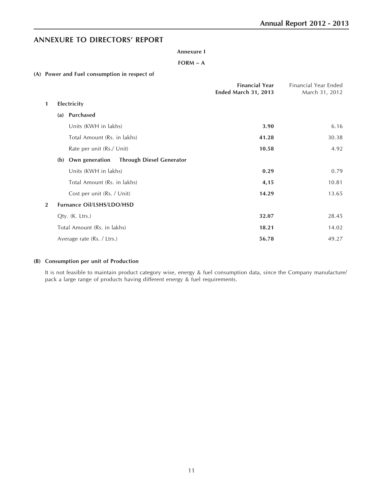### ANNEXURE TO DIRECTORS' REPORT

### Annexure I

### FORM – A

### (A) Power and Fuel consumption in respect of

|                |     |                                                   | <b>Financial Year</b><br><b>Ended March 31, 2013</b> | Financial Year Ended<br>March 31, 2012 |
|----------------|-----|---------------------------------------------------|------------------------------------------------------|----------------------------------------|
| $\mathbf{1}$   |     | Electricity                                       |                                                      |                                        |
|                | (a) | Purchased                                         |                                                      |                                        |
|                |     | Units (KWH in lakhs)                              | 3.90                                                 | 6.16                                   |
|                |     | Total Amount (Rs. in lakhs)                       | 41.28                                                | 30.38                                  |
|                |     | Rate per unit (Rs./ Unit)                         | 10.58                                                | 4.92                                   |
|                | (b) | <b>Through Diesel Generator</b><br>Own generation |                                                      |                                        |
|                |     | Units (KWH in lakhs)                              | 0.29                                                 | 0.79                                   |
|                |     | Total Amount (Rs. in lakhs)                       | 4,15                                                 | 10.81                                  |
|                |     | Cost per unit (Rs. / Unit)                        | 14.29                                                | 13.65                                  |
| $\overline{2}$ |     | <b>Furnance Oil/LSHS/LDO/HSD</b>                  |                                                      |                                        |
|                |     | Qty. (K. Ltrs.)                                   | 32.07                                                | 28.45                                  |
|                |     | Total Amount (Rs. in lakhs)                       | 18.21                                                | 14.02                                  |
|                |     | Average rate (Rs. / Ltrs.)                        | 56.78                                                | 49.27                                  |

### (B) Consumption per unit of Production

It is not feasible to maintain product category wise, energy & fuel consumption data, since the Company manufacture/ pack a large range of products having different energy & fuel requirements.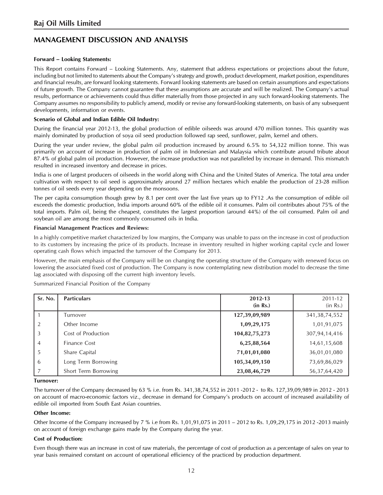## MANAGEMENT DISCUSSION AND ANALYSIS

### Forward – Looking Statements:

This Report contains Forward – Looking Statements. Any, statement that address expectations or projections about the future, including but not limited to statements about the Company's strategy and growth, product development, market position, expenditures and financial results, are forward looking statements. Forward looking statements are based on certain assumptions and expectations of future growth. The Company cannot guarantee that these assumptions are accurate and will be realized. The Company's actual results, performance or achievements could thus differ materially from those projected in any such forward-looking statements. The Company assumes no responsibility to publicly amend, modify or revise any forward-looking statements, on basis of any subsequent developments, information or events.

### Scenario of Global and Indian Edible Oil Industry:

During the financial year 2012-13, the global production of edible oilseeds was around 470 million tonnes. This quantity was mainly dominated by production of soya oil seed production followed rap seed, sunflower, palm, kernel and others.

During the year under review, the global palm oil production increased by around 6.5% to 54,322 million tonne. This was primarily on account of increase in production of palm oil in Indonesian and Malaysia which contribute around tribute about 87.4% of global palm oil production. However, the increase production was not paralleled by increase in demand. This mismatch resulted in increased inventory and decrease in prices.

India is one of largest producers of oilseeds in the world along with China and the United States of America. The total area under cultivation with respect to oil seed is approximately around 27 million hectares which enable the production of 23-28 million tonnes of oil seeds every year depending on the monsoons.

The per capita consumption though grew by 8.1 per cent over the last five years up to FY12 .As the consumption of edible oil exceeds the domestic production, India imports around 60% of the edible oil it consumes. Palm oil contributes about 75% of the total imports. Palm oil, being the cheapest, constitutes the largest proportion (around 44%) of the oil consumed. Palm oil and soybean oil are among the most commonly consumed oils in India.

### Financial Management Practices and Reviews:

In a highly competitive market characterized by low margins, the Company was unable to pass on the increase in cost of production to its customers by increasing the price of its products. Increase in inventory resulted in higher working capital cycle and lower operating cash flows which impacted the turnover of the Company for 2013.

However, the main emphasis of the Company will be on changing the operating structure of the Company with renewed focus on lowering the associated fixed cost of production. The Company is now contemplating new distribution model to decrease the time lag associated with disposing off the current high inventory levels.

Summarized Financial Position of the Company

| Sr. No.        | <b>Particulars</b>   | 2012-13<br>(in Rs.) | 2011-12<br>(in Rs.) |
|----------------|----------------------|---------------------|---------------------|
|                | Turnover             | 127,39,09,989       | 341, 38, 74, 552    |
| 2              | Other Income         | 1,09,29,175         | 1,01,91,075         |
| 3              | Cost of Production   | 104,82,75,273       | 307,94,14,416       |
| $\overline{4}$ | Finance Cost         | 6,25,88,564         | 14,61,15,608        |
| 5              | Share Capital        | 71,01,01,080        | 36,01,01,080        |
| 6              | Long Term Borrowing  | 105,34,09,150       | 73,69,86,029        |
|                | Short Term Borrowing | 23,08,46,729        | 56,37,64,420        |

#### Turnover:

The turnover of the Company decreased by 63 % i.e. from Rs. 341,38,74,552 in 2011 -2012 - to Rs. 127,39,09,989 in 2012 - 2013 on account of macro-economic factors viz., decrease in demand for Company's products on account of increased availability of edible oil imported from South East Asian countries.

### Other Income:

Other Income of the Company increased by 7 % i.e from Rs. 1,01,91,075 in 2011 – 2012 to Rs. 1,09,29,175 in 2012 -2013 mainly on account of foreign exchange gains made by the Company during the year.

### Cost of Production:

Even though there was an increase in cost of raw materials, the percentage of cost of production as a percentage of sales on year to year basis remained constant on account of operational efficiency of the practiced by production department.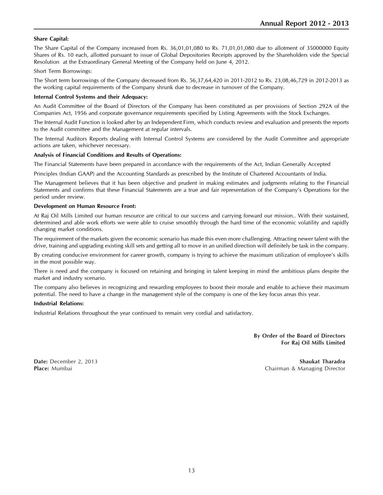### Share Capital:

The Share Capital of the Company increased from Rs. 36,01,01,080 to Rs. 71,01,01,080 due to allotment of 35000000 Equity Shares of Rs. 10 each, allotted pursuant to issue of Global Depositories Receipts approved by the Shareholders vide the Special Resolution at the Extraordinary General Meeting of the Company held on June 4, 2012.

Short Term Borrowings:

The Short term borrowings of the Company decreased from Rs. 56,37,64,420 in 2011-2012 to Rs. 23,08,46,729 in 2012-2013 as the working capital requirements of the Company shrunk due to decrease in turnover of the Company.

#### Internal Control Systems and their Adequacy:

An Audit Committee of the Board of Directors of the Company has been constituted as per provisions of Section 292A of the Companies Act, 1956 and corporate governance requirements specified by Listing Agreements with the Stock Exchanges.

The Internal Audit Function is looked after by an Independent Firm, which conducts review and evaluation and presents the reports to the Audit committee and the Management at regular intervals.

The Internal Auditors Reports dealing with Internal Control Systems are considered by the Audit Committee and appropriate actions are taken, whichever necessary.

#### Analysis of Financial Conditions and Results of Operations:

The Financial Statements have been prepared in accordance with the requirements of the Act, Indian Generally Accepted

Principles (Indian GAAP) and the Accounting Standards as prescribed by the Institute of Chartered Accountants of India.

The Management believes that it has been objective and prudent in making estimates and judgments relating to the Financial Statements and confirms that these Financial Statements are a true and fair representation of the Company's Operations for the period under review.

### Development on Human Resource Front:

At Raj Oil Mills Limited our human resource are critical to our success and carrying forward our mission.. With their sustained, determined and able work efforts we were able to cruise smoothly through the hard time of the economic volatility and rapidly changing market conditions.

The requirement of the markets given the economic scenario has made this even more challenging. Attracting newer talent with the drive, training and upgrading existing skill sets and getting all to move in an unified direction will definitely be task in the company.

By creating conducive environment for career growth, company is trying to achieve the maximum utilization of employee's skills in the most possible way.

There is need and the company is focused on retaining and bringing in talent keeping in mind the ambitious plans despite the market and industry scenario.

The company also believes in recognizing and rewarding employees to boost their morale and enable to achieve their maximum potential. The need to have a change in the management style of the company is one of the key focus areas this year.

### Industrial Relations:

Industrial Relations throughout the year continued to remain very cordial and satisfactory.

By Order of the Board of Directors For Raj Oil Mills Limited

Date: December 2, 2013 Shaukat Tharadra Shaukat Tharadra Shaukat Tharadra Shaukat Tharadra Shaukat Tharadra Shaukat Tharadra Shaukat Tharadra Shaukat Tharadra Shaukat Tharadra Shaukat Tharadra Shaukat Tharadra Shaukat Thar **Place:** Mumbai Chairman & Managing Director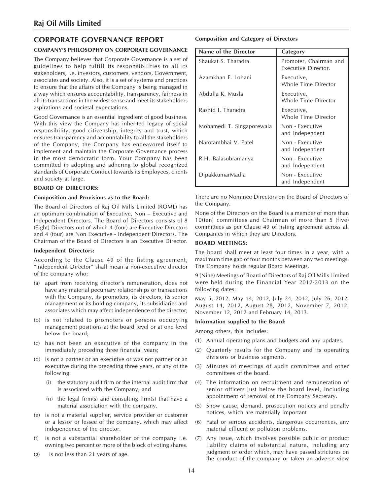# CORPORATE GOVERNANCE REPORT

### COMPANY'S PHILOSOPHY ON CORPORATE GOVERNANCE

The Company believes that Corporate Governance is a set of guidelines to help fulfill its responsibilities to all its stakeholders, i.e. investors, customers, vendors, Government, associates and society. Also, it is a set of systems and practices to ensure that the affairs of the Company is being managed in a way which ensures accountability, transparency, fairness in all its transactions in the widest sense and meet its stakeholders aspirations and societal expectations.

Good Governance is an essential ingredient of good business. With this view the Company has inherited legacy of social responsibility, good citizenship, integrity and trust, which ensures transparency and accountability to all the stakeholders of the Company, the Company has endeavored itself to implement and maintain the Corporate Governance process in the most democratic form. Your Company has been committed in adopting and adhering to global recognized standards of Corporate Conduct towards its Employees, clients and society at large.

#### BOARD OF DIRECTORS:

#### Composition and Provisions as to the Board:

The Board of Directors of Raj Oil Mills Limited (ROML) has an optimum combination of Executive, Non – Executive and Independent Directors. The Board of Directors consists of 8 (Eight) Directors out of which 4 (four) are Executive Directors and 4 (four) are Non Executive - Independent Directors. The Chairman of the Board of Directors is an Executive Director.

#### Independent Directors:

According to the Clause 49 of the listing agreement, "Independent Director" shall mean a non-executive director of the company who:

- (a) apart from receiving director's remuneration, does not have any material pecuniary relationships or transactions with the Company, its promoters, its directors, its senior management or its holding company, its subsidiaries and associates which may affect independence of the director;
- (b) is not related to promoters or persons occupying management positions at the board level or at one level below the board;
- (c) has not been an executive of the company in the immediately preceding three financial years;
- (d) is not a partner or an executive or was not partner or an executive during the preceding three years, of any of the following:
	- (i) the statutory audit firm or the internal audit firm that is associated with the Company, and
	- (ii) the legal firm(s) and consulting firm(s) that have a material association with the company.
- (e) is not a material supplier, service provider or customer or a lessor or lessee of the company, which may affect independence of the director.
- (f) is not a substantial shareholder of the company i.e. owning two percent or more of the block of voting shares.
- (g) is not less than 21 years of age.

### Composition and Category of Directors

| Name of the Director      | Category                                      |
|---------------------------|-----------------------------------------------|
| Shaukat S. Tharadra       | Promoter, Chairman and<br>Executive Director. |
| Azamkhan F. Lohani        | Executive,<br>Whole Time Director             |
| Abdulla K. Musla          | Executive,<br>Whole Time Director             |
| Rashid I. Tharadra        | Executive,<br>Whole Time Director             |
| Mohamedi T. Singaporewala | Non - Executive<br>and Independent            |
| Narotambhai V. Patel      | Non - Executive<br>and Independent            |
| R.H. Balasubramanya       | Non - Executive<br>and Independent            |
| DipakkumarMadia           | Non - Executive<br>and Independent            |

There are no Nominee Directors on the Board of Directors of the Company.

None of the Directors on the Board is a member of more than 10(ten) committees and Chairman of more than 5 (five) committees as per Clause 49 of listing agreement across all Companies in which they are Directors.

#### BOARD MEETINGS:

The board shall meet at least four times in a year, with a maximum time gap of four months between any two meetings. The Company holds regular Board Meetings.

9 (Nine) Meetings of Board of Directors of Raj Oil Mills Limited were held during the Financial Year 2012-2013 on the following dates:

May 5, 2012, May 14, 2012, July 24, 2012, July 26, 2012, August 14, 2012, August 28, 2012, November 7, 2012, November 12, 2012 and February 14, 2013.

#### Information supplied to the Board:

Among others, this includes:

- (1) Annual operating plans and budgets and any updates.
- (2) Quarterly results for the Company and its operating divisions or business segments.
- (3) Minutes of meetings of audit committee and other committees of the board.
- (4) The information on recruitment and remuneration of senior officers just below the board level, including appointment or removal of the Company Secretary.
- (5) Show cause, demand, prosecution notices and penalty notices, which are materially important
- (6) Fatal or serious accidents, dangerous occurrences, any material effluent or pollution problems.
- (7) Any issue, which involves possible public or product liability claims of substantial nature, including any judgment or order which, may have passed strictures on the conduct of the company or taken an adverse view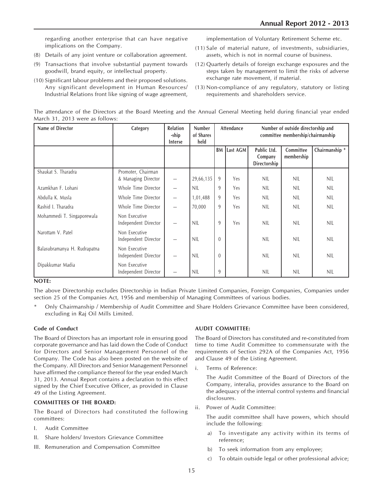regarding another enterprise that can have negative implications on the Company.

- (8) Details of any joint venture or collaboration agreement.
- (9) Transactions that involve substantial payment towards goodwill, brand equity, or intellectual property.
- (10) Significant labour problems and their proposed solutions. Any significant development in Human Resources/ Industrial Relations front like signing of wage agreement,

implementation of Voluntary Retirement Scheme etc.

- (11) Sale of material nature, of investments, subsidiaries, assets, which is not in normal course of business.
- (12) Quarterly details of foreign exchange exposures and the steps taken by management to limit the risks of adverse exchange rate movement, if material.
- (13) Non-compliance of any regulatory, statutory or listing requirements and shareholders service.

| The attendance of the Directors at the Board Meeting and the Annual General Meeting held during financial year ended |  |  |  |  |  |  |
|----------------------------------------------------------------------------------------------------------------------|--|--|--|--|--|--|
| March 31, 2013 were as follows:                                                                                      |  |  |  |  |  |  |

| Name of Director             | Category                                  | <b>Relation</b><br>-ship<br>Interse | <b>Number</b><br>of Shares<br>held |          | <b>Attendance</b>  |                                        | Number of outside directorship and<br>committee membership/chairmanship |                           |
|------------------------------|-------------------------------------------|-------------------------------------|------------------------------------|----------|--------------------|----------------------------------------|-------------------------------------------------------------------------|---------------------------|
|                              |                                           |                                     |                                    |          | <b>BM</b> Last AGM | Public Ltd.<br>Company<br>Directorship | Committee<br>membership                                                 | Chairmanship <sup>*</sup> |
| Shaukat S. Tharadra          | Promoter, Chairman<br>& Managing Director |                                     | 29,66,135                          | 9        | Yes                | <b>NIL</b>                             | <b>NIL</b>                                                              | <b>NIL</b>                |
| Azamkhan F. Lohani           | Whole Time Director                       |                                     | <b>NIL</b>                         | 9        | Yes                | <b>NIL</b>                             | <b>NIL</b>                                                              | <b>NIL</b>                |
| Abdulla K. Musla             | Whole Time Director                       |                                     | 1,01,488                           | 9        | Yes                | <b>NIL</b>                             | <b>NIL</b>                                                              | <b>NIL</b>                |
| Rashid I. Tharadra           | Whole Time Director                       | $\overline{\phantom{0}}$            | 70,000                             | 9        | Yes                | <b>NIL</b>                             | <b>NIL</b>                                                              | <b>NIL</b>                |
| Mohammedi T. Singaporewala   | Non Executive<br>Independent Director     |                                     | <b>NIL</b>                         | 9        | Yes                | <b>NIL</b>                             | <b>NIL</b>                                                              | <b>NIL</b>                |
| Narottam V. Patel            | Non Executive<br>Independent Director     |                                     | <b>NIL</b>                         | $\theta$ |                    | <b>NIL</b>                             | <b>NIL</b>                                                              | <b>NIL</b>                |
| Balasubramanya H. Rudrapatna | Non Executive<br>Independent Director     |                                     | <b>NIL</b>                         | $\theta$ |                    | <b>NIL</b>                             | <b>NIL</b>                                                              | <b>NIL</b>                |
| Dipakkumar Madia             | Non Executive<br>Independent Director     |                                     | <b>NIL</b>                         | 9        |                    | <b>NIL</b>                             | <b>NIL</b>                                                              | <b>NIL</b>                |

### NOTE:

The above Directorship excludes Directorship in Indian Private Limited Companies, Foreign Companies, Companies under section 25 of the Companies Act, 1956 and membership of Managing Committees of various bodies.

Only Chairmanship / Membership of Audit Committee and Share Holders Grievance Committee have been considered, excluding in Raj Oil Mills Limited.

### Code of Conduct

The Board of Directors has an important role in ensuring good corporate governance and has laid down the Code of Conduct for Directors and Senior Management Personnel of the Company. The Code has also been posted on the website of the Company. All Directors and Senior Management Personnel have affirmed the compliance thereof for the year ended March 31, 2013. Annual Report contains a declaration to this effect signed by the Chief Executive Officer, as provided in Clause 49 of the Listing Agreement.

### COMMITTEES OF THE BOARD:

The Board of Directors had constituted the following committees:

- I. Audit Committee
- II. Share holders/ Investors Grievance Committee
- III. Remuneration and Compensation Committee

### AUDIT COMMITTEE:

The Board of Directors has constituted and re-constituted from time to time Audit Committee to commensurate with the requirements of Section 292A of the Companies Act, 1956 and Clause 49 of the Listing Agreement.

i. Terms of Reference:

The Audit Committee of the Board of Directors of the Company, interalia, provides assurance to the Board on the adequacy of the internal control systems and financial disclosures.

ii. Power of Audit Committee:

The audit committee shall have powers, which should include the following:

- a) To investigate any activity within its terms of reference;
- b) To seek information from any employee;
- c) To obtain outside legal or other professional advice;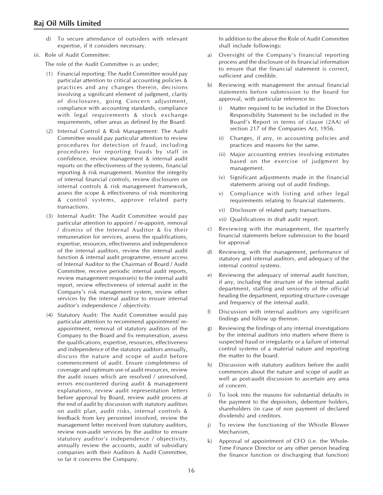- d) To secure attendance of outsiders with relevant expertise, if it considers necessary.
- iii. Role of Audit Committee:

The role of the Audit Committee is as under;

- (1) Financial reporting: The Audit Committee would pay particular attention to critical accounting policies & practices and any changes therein, decisions involving a significant element of judgment, clarity of disclosures, going Concern adjustment, compliance with accounting standards, compliance with legal requirements & stock exchange requirements, other areas as defined by the Board.
- (2) Internal Control & Risk Management: The Audit Committee would pay particular attention to review procedures for detection of fraud, including procedures for reporting frauds by staff in confidence, review management & internal audit reports on the effectiveness of the systems, financial reporting & risk management. Monitor the integrity of internal financial controls, review disclosures on internal controls & risk management framework, assess the scope & effectiveness of risk monitoring & control systems, approve related party transactions.
- (3) Internal Audit: The Audit Committee would pay particular attention to appoint / re-appoint, removal / dismiss of the Internal Auditor & fix their remuneration for services, assess the qualifications, expertise, resources, effectiveness and independence of the internal auditors, review the internal audit function & internal audit programme, ensure access of Internal Auditor to the Chairman of Board / Audit Committee, receive periodic internal audit reports, review management response(s) to the internal audit report, review effectiveness of internal audit in the Company's risk management system, review other services by the internal auditor to ensure internal auditor's independence / objectivity.
- (4) Statutory Audit: The Audit Committee would pay particular attention to recommend appointment/ reappointment, removal of statutory auditors of the Company to the Board and fix remuneration, assess the qualifications, expertise, resources, effectiveness and independence of the statutory auditors annually, discuss the nature and scope of audit before commencement of audit. Ensure completeness of coverage and optimum use of audit resources, review the audit issues which are resolved / unresolved, errors encountered during audit & management explanations, review audit representation letters before approval by Board, review audit process at the end of audit by discussion with statutory auditors on audit plan, audit risks, internal controls & feedback from key personnel involved, review the management letter received from statutory auditors, review non-audit services by the auditor to ensure statutory auditor's independence / objectivity, annually review the accounts, audit of subsidiary companies with their Auditors & Audit Committee, so far it concerns the Company.

In addition to the above the Role of Audit Committee shall include followings:

- a) Oversight of the Company's financial reporting process and the disclosure of its financial information to ensure that the financial statement is correct, sufficient and credible.
- b) Reviewing with management the annual financial statements before submission to the board for approval, with particular reference to:
	- i) Matter required to be included in the Directors Responsibility Statement to be included in the Board's Report in terms of clause (2AA) of section 217 of the Companies Act, 1956.
	- ii) Changes, if any, in accounting policies and practices and reasons for the same.
	- iii) Major accounting entries involving estimates based on the exercise of judgment by management.
	- iv) Significant adjustments made in the financial statements arising out of audit findings.
	- v) Compliance with listing and other legal requirements relating to financial statements.
	- vi) Disclosure of related party transactions.
	- vii) Qualifications in draft audit report.
- Reviewing with the management, the quarterly financial statements before submission to the board for approval
- d) Reviewing, with the management, performance of statutory and internal auditors, and adequacy of the internal control systems.
- e) Reviewing the adequacy of internal audit function, if any, including the structure of the internal audit department, staffing and seniority of the official heading the department, reporting structure coverage and frequency of the internal audit.
- f) Discussion with internal auditors any significant findings and follow up thereon.
- g) Reviewing the findings of any internal investigations by the internal auditors into matters where there is suspected fraud or irregularity or a failure of internal control systems of a material nature and reporting the matter to the board.
- h) Discussion with statutory auditors before the audit commences about the nature and scope of audit as well as post-audit discussion to ascertain any area of concern.
- i) To look into the reasons for substantial defaults in the payment to the depositors, debenture holders, shareholders (in case of non payment of declared dividends) and creditors.
- j) To review the functioning of the Whistle Blower Mechanism,
- k) Approval of appointment of CFO (i.e. the Whole-Time Finance Director or any other person heading the finance function or discharging that function)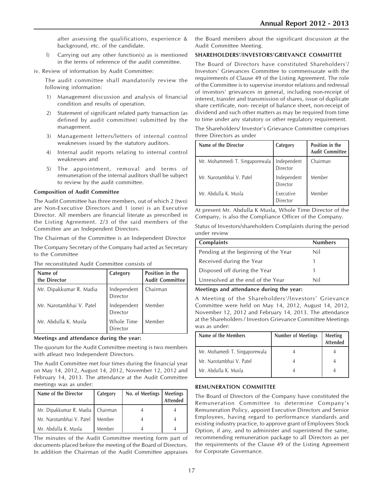after assessing the qualifications, experience & background, etc. of the candidate.

- l) Carrying out any other function(s) as is mentioned in the terms of reference of the audit committee.
- iv. Review of information by Audit Committee:

The audit committee shall mandatorily review the following information:

- 1) Management discussion and analysis of financial condition and results of operation.
- 2) Statement of significant related party transaction (as defined by audit committee) submitted by the management.
- 3) Management letters/letters of internal control weaknesses issued by the statutory auditors.
- 4) Internal audit reports relating to internal control weaknesses and
- 5) The appointment, removal and terms of remuneration of the internal auditors shall be subject to review by the audit committee.

### Composition of Audit Committee

The Audit Committee has three members, out of which 2 (two) are Non-Executive Directors and 1 (one) is an Executive Director. All members are financial literate as prescribed in the Listing Agreement. 2/3 of the said members of the Committee are an Independent Directors.

The Chairman of the Committee is an Independent Director

The Company Secretary of the Company had acted as Secretary to the Committee

| The reconstituted Audit Committee consists of |  |
|-----------------------------------------------|--|
|-----------------------------------------------|--|

| Name of<br>the Director  | Category                | <b>Position in the<br/>Audit Committee</b> |
|--------------------------|-------------------------|--------------------------------------------|
| Mr. Dipakkumar R. Madia  | Independent<br>Director | l Chairman                                 |
| Mr. Narotambhai V. Patel | Independent<br>Director | Member                                     |
| Mr. Abdulla K. Musla     | Whole Time<br>Director  | Member                                     |

### Meetings and attendance during the year:

The quorum for the Audit Committee meeting is two members with atleast two Independent Directors.

The Audit Committee met four times during the financial year on May 14, 2012, August 14, 2012, November 12, 2012 and February 14, 2013. The attendance at the Audit Committee meetings was as under:

| Name of the Director               | Category | No. of Meetings   Meetings | Attended |
|------------------------------------|----------|----------------------------|----------|
| Mr. Dipakkumar R. Madia   Chairman |          |                            |          |
| Mr. Narotambhai V. Patel           | Member   |                            |          |
| Mr. Abdulla K. Musla               | Member   |                            |          |

The minutes of the Audit Committee meeting form part of documents placed before the meeting of the Board of Directors. In addition the Chairman of the Audit Committee appraises the Board members about the significant discussion at the Audit Committee Meeting.

### SHAREHOLDERS'/INVESTORS'GRIEVANCE COMMITTEE

The Board of Directors have constituted Shareholders'/ Investors' Grievances Committee to commensurate with the requirements of Clause 49 of the Listing Agreement. The role of the Committee is to supervise investor relations and redressal of investors' grievances in general, including non-receipt of interest, transfer and transmission of shares, issue of duplicate share certificate, non- receipt of balance sheet, non-receipt of dividend and such other matters as may be required from time to time under any statutory or other regulatory requirement.

The Shareholders/ Investor's Grievance Committee comprises three Directors as under

| Name of the Director           | Category                | Position in the<br><b>Audit Committee</b> |
|--------------------------------|-------------------------|-------------------------------------------|
| Mr. Mohammedi T. Singaporewala | Independent<br>Director | Chairman                                  |
| Mr. Narotambhai V. Patel       | Independent<br>Director | Member                                    |
| Mr. Abdulla K. Musla           | Executive<br>Director   | Member                                    |

At present Mr. Abdulla K Musla, Whole Time Director of the Company, is also the Compliance Officer of the Company.

Status of Investors/shareholders Complaints during the period under review

| <b>Complaints</b>                    | <b>Numbers</b> |
|--------------------------------------|----------------|
| Pending at the beginning of the Year | Nil            |
| Received during the Year             |                |
| Disposed off during the Year         |                |
| Unresolved at the end of the Year    | Nil            |

#### Meetings and attendance during the year:

A Meeting of the Shareholders'/Investors' Grievance Committee were held on May 14, 2012, August 14, 2012, November 12, 2012 and February 14, 2013. The attendance at the Shareholders / Investors Grievance Committee Meetings was as under:

| <b>Name of the Members</b>    | <b>Number of Meetings</b> | Meeting<br>Attended |
|-------------------------------|---------------------------|---------------------|
| Mr. Mohamedi T. Singaporewala |                           |                     |
| l Mr. Narotambhai V. Patel    |                           |                     |
| l Mr. Abdulla K. Musla        |                           |                     |

### REMUNERATION COMMITTEE

The Board of Directors of the Company have constituted the Remuneration Committee to determine Company's Remuneration Policy, appoint Executive Directors and Senior Employees, having regard to performance standards and existing industry practice, to approve grant of Employees Stock Option, if any, and to administer and superintend the same, recommending remuneration package to all Directors as per the requirements of the Clause 49 of the Listing Agreement for Corporate Governance.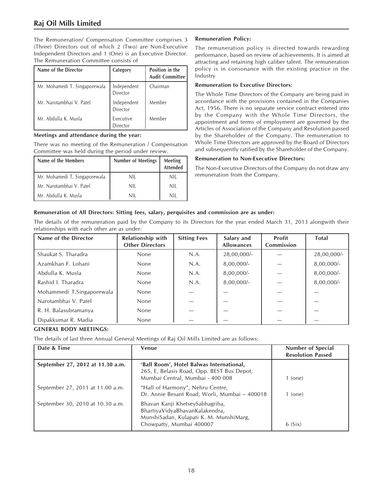The Remuneration/ Compensation Committee comprises 3 (Three) Directors out of which 2 (Two) are Non-Executive Independent Directors and 1 (One) is an Executive Director. The Remuneration Committee consists of

| Name of the Director          | Category                       | Position in the<br><b>Audit Committee</b> |
|-------------------------------|--------------------------------|-------------------------------------------|
| Mr. Mohamedi T. Singaporewala | Independent<br><b>Director</b> | Chairman                                  |
| Mr. Narotambhai V. Patel      | Independent<br>Director        | Member                                    |
| Mr. Abdulla K. Musla          | Executive<br>Director          | Member                                    |

### Meetings and attendance during the year:

There was no meeting of the Remuneration / Compensation Committee was held during the period under review.

| Name of the Members           | <b>Number of Meetings</b> | <b>Meeting</b><br><b>Attended</b> |
|-------------------------------|---------------------------|-----------------------------------|
| Mr. Mohamedi T. Singaporewala | nil                       | <b>NIL</b>                        |
| Mr. Narotambhai V. Patel      | NII                       | <b>NIL</b>                        |
| Mr. Abdulla K. Musla          | nii                       | NII                               |

### Remuneration Policy:

The remuneration policy is directed towards rewarding performance, based on review of achievements. It is aimed at attracting and retaining high caliber talent. The remuneration policy is in consonance with the existing practice in the Industry

### Remuneration to Executive Directors:

The Whole Time Directors of the Company are being paid in accordance with the provisions contained in the Companies Act, 1956. There is no separate service contract entered into by the Company with the Whole Time Directors, the appointment and terms of employment are governed by the Articles of Association of the Company and Resolution passed by the Shareholder of the Company. The remuneration to Whole Time Directors are approved by the Board of Directors and subsequently ratified by the Shareholder of the Company.

### Remuneration to Non-Executive Directors:

The Non-Executive Directors of the Company do not draw any remuneration from the Company.

### Remuneration of All Directors: Sitting fees, salary, perquisites and commission are as under:

The details of the remuneration paid by the Company to its Directors for the year ended March 31, 2013 alongwith their relationships with each other are as under:

| Name of the Director      | Relationship with<br><b>Other Directors</b> | <b>Sitting Fees</b> | Salary and<br><b>Allowances</b> | Profit<br>Commission | <b>Total</b> |
|---------------------------|---------------------------------------------|---------------------|---------------------------------|----------------------|--------------|
| Shaukat S. Tharadra       | None                                        | N.A.                | 28,00,000/-                     |                      | 28,00,000/-  |
| Azamkhan F. Lohani        | None                                        | N.A.                | 8,00,000/-                      |                      | 8,00,000/-   |
| Abdulla K. Musla          | None                                        | N.A.                | $8,00,000/$ -                   |                      | 8,00,000/-   |
| Rashid I. Tharadra        | None                                        | N.A.                | $8,00,000/$ -                   |                      | 8,00,000/-   |
| Mohammedi T.Singaporewala | None                                        |                     |                                 |                      |              |
| Narotambhai V. Patel      | None                                        |                     |                                 |                      |              |
| R. H. Balasubramanya      | None                                        |                     |                                 |                      |              |
| Dipakkumar R. Madia       | None                                        |                     |                                 |                      |              |

### GENERAL BODY MEETINGS:

The details of last three Annual General Meetings of Raj Oil Mills Limited are as follows:

| Date & Time                      | Venue                                                                                                                                    | Number of Special<br><b>Resolution Passed</b> |
|----------------------------------|------------------------------------------------------------------------------------------------------------------------------------------|-----------------------------------------------|
| September 27, 2012 at 11.30 a.m. | 'Ball Room', Hotel Balwas International,<br>265, E, Belasis Road, Opp. BEST Bus Depot,<br>Mumbai Central, Mumbai - 400 008               | $1$ (one)                                     |
| September 27, 2011 at 11.00 a.m. | "Hall of Harmony", Nehru Centre,<br>Dr. Annie Besant Road, Worli, Mumbai - 400018                                                        | $1$ (one)                                     |
| September 30, 2010 at 10.30 a.m. | Bhavan Kanji KhetseySabhagriha,<br>BhartiyaVidyaBhavanKalakendra,<br>MunshiSadan, Kulapati K. M. MunshiMarg,<br>Chowpatty, Mumbai 400007 | 6(Six)                                        |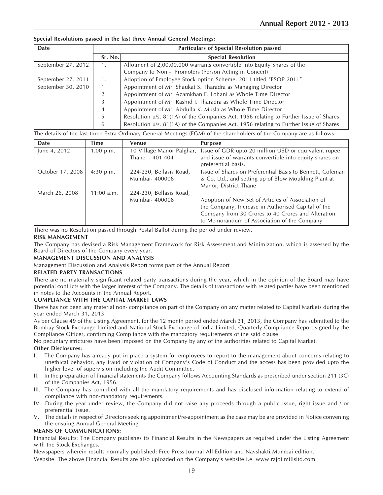### Special Resolutions passed in the last three Annual General Meetings:

| Date               |               | Particulars of Special Resolution passed                                              |  |  |  |  |
|--------------------|---------------|---------------------------------------------------------------------------------------|--|--|--|--|
|                    | Sr. No.       | <b>Special Resolution</b>                                                             |  |  |  |  |
| September 27, 2012 |               | Allotment of 2,00,00,000 warrants convertible into Equity Shares of the               |  |  |  |  |
|                    |               | Company to Non - Promoters (Person Acting in Concert)                                 |  |  |  |  |
| September 27, 2011 | 1.            | Adoption of Employee Stock option Scheme, 2011 titled "ESOP 2011"                     |  |  |  |  |
| September 30, 2010 |               | Appointment of Mr. Shaukat S. Tharadra as Managing Director                           |  |  |  |  |
|                    | $\mathcal{P}$ | Appointment of Mr. Azamkhan F. Lohani as Whole Time Director                          |  |  |  |  |
|                    | 3             | Appointment of Mr. Rashid I. Tharadra as Whole Time Director                          |  |  |  |  |
|                    | 4             | Appointment of Mr. Abdulla K. Musla as Whole Time Director                            |  |  |  |  |
|                    | 5             | Resolution u/s. 81(1A) of the Companies Act, 1956 relating to Further Issue of Shares |  |  |  |  |
|                    | 6             | Resolution u/s. 81(1A) of the Companies Act, 1956 relating to Further Issue of Shares |  |  |  |  |

|  |  | The details of the last three Extra-Ordinary General Meetings (EGM) of the shareholders of the Company are as follows: |  |  |  |  |  |
|--|--|------------------------------------------------------------------------------------------------------------------------|--|--|--|--|--|
|  |  |                                                                                                                        |  |  |  |  |  |

| Date             | Time         | Venue                     | <b>Purpose</b>                                                                                    |
|------------------|--------------|---------------------------|---------------------------------------------------------------------------------------------------|
| June 4, 2012     | 1.00 p.m.    | 10 Village Manor Palghar, | Issue of GDR upto 20 million USD or equivalent rupee                                              |
|                  |              | Thane - 401 404           | and issue of warrants convertible into equity shares on<br>preferential basis.                    |
| October 17, 2008 | $4:30$ p.m.  | 224-230, Bellasis Road,   | Issue of Shares on Preferential Basis to Bennett, Coleman                                         |
|                  |              | Mumbai- 400008            | & Co. Ltd., and setting up of Blow Moulding Plant at<br>Manor, District Thane                     |
| March 26, 2008   | $11:00$ a.m. | 224-230, Bellasis Road,   |                                                                                                   |
|                  |              | Mumbai- 400008            | Adoption of New Set of Articles of Association of                                                 |
|                  |              |                           | the Company, Increase in Authorised Capital of the                                                |
|                  |              |                           | Company from 30 Crores to 40 Crores and Alteration<br>to Memorandum of Association of the Company |

There was no Resolution passed through Postal Ballot during the period under review.

### RISK MANAGEMENT

The Company has devised a Risk Management Framework for Risk Assessment and Minimization, which is assessed by the Board of Directors of the Company every year.

### MANAGEMENT DISCUSSION AND ANALYSIS

Management Discussion and Analysis Report forms part of the Annual Report

### RELATED PARTY TRANSACTIONS

There are no materially significant related party transactions during the year, which in the opinion of the Board may have potential conflicts with the larger interest of the Company. The details of transactions with related parties have been mentioned in notes to the Accounts in the Annual Report.

### COMPLIANCE WITH THE CAPITAL MARKET LAWS

There has not been any material non- compliance on part of the Company on any matter related to Capital Markets during the year ended March 31, 2013.

As per Clause 49 of the Listing Agreement, for the 12 month period ended March 31, 2013, the Company has submitted to the Bombay Stock Exchange Limited and National Stock Exchange of India Limited, Quarterly Compliance Report signed by the Compliance Officer, confirming Compliance with the mandatory requirements of the said clause.

No pecuniary strictures have been imposed on the Company by any of the authorities related to Capital Market.

### Other Disclosures:

- I. The Company has already put in place a system for employees to report to the management about concerns relating to unethical behavior, any fraud or violation of Company's Code of Conduct and the access has been provided upto the higher level of supervision including the Audit Committee.
- II. In the preparation of financial statements the Company follows Accounting Standards as prescribed under section 211 (3C) of the Companies Act, 1956.
- III. The Company has complied with all the mandatory requirements and has disclosed information relating to extend of compliance with non-mandatory requirements.
- IV. During the year under review, the Company did not raise any proceeds through a public issue, right issue and / or preferential issue.
- V. The details in respect of Directors seeking appointment/re-appointment as the case may be are provided in Notice convening the ensuing Annual General Meeting.

### MEANS OF COMMUNICATIONS:

Financial Results: The Company publishes its Financial Results in the Newspapers as required under the Listing Agreement with the Stock Exchanges.

Newspapers wherein results normally published: Free Press Journal All Edition and Navshakti Mumbai edition. Website: The above Financial Results are also uploaded on the Company's website i.e. www.rajoilmillsltd.com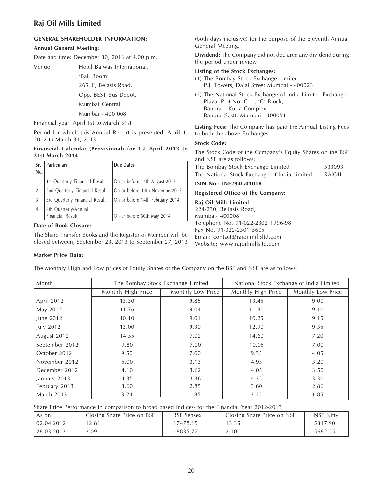### GENERAL SHAREHOLDER INFORMATION:

### Annual General Meeting:

Date and time: December 30, 2013 at 4.00 p.m.

Venue: Hotel Balwas International,

'Ball Room' 265, E, Belasis Road, Opp. BEST Bus Depot, Mumbai Central, Mumbai - 400 008

Financial year: April 1st to March 31st

Period for which this Annual Report is presented: April 1, 2012 to March 31, 2013.

### Financial Calendar (Provisional) for 1st April 2013 to 31st March 2014

| Sr.<br>No.           | Particulars                              | Due Dates                       |
|----------------------|------------------------------------------|---------------------------------|
|                      | 1st Quarterly Financial Result           | On or before 14th August 2013   |
| $\vert$ <sub>2</sub> | 2nd Quarterly Financial Result           | On or before 14th November2013  |
| $\vert$ 3            | 3rd Quarterly Financial Result           | On or before 14th February 2014 |
| $\overline{14}$      | 4th Quarterly/Annual<br>Financial Result | On or before 30th May 2014      |

### Date of Book Closure:

The Share Transfer Books and the Register of Member will be closed between, September 23, 2013 to September 27, 2013

### Market Price Data:

(both days inclusive) for the purpose of the Eleventh Annual General Meeting.

Dividend: The Company did not declared any dividend during the period under review

### Listing of the Stock Exchanges:

(1) The Bombay Stock Exchange Limited P.J. Towers, Dalal Street Mumbai - 400023

(2) The National Stock Exchange of India Limited Exchange Plaza, Plot No. C- 1, 'G' Block, Bandra – Kurla Complex, Bandra (East), Mumbai - 400051

Listing Fees: The Company has paid the Annual Listing Fees to both the above Exchanges.

### Stock Code:

The Stock Code of the Company's Equity Shares on the BSE and NSE are as follows:

| The Bombay Stock Exchange Limited            | 533093 |
|----------------------------------------------|--------|
| The National Stock Exchange of India Limited | RAJOIL |

### ISIN No.: INE294G01018

### Registered Office of the Company:

Raj Oil Mills Limited 224-230, Bellasis Road, Mumbai- 400008 Telephone No. 91-022-2302 1996-98 Fax No. 91-022-2301 5605 Email: contact@rajoilmillsltd.com Website: www.rajoilmillsltd.com

The Monthly High and Low prices of Equity Shares of the Company on the BSE and NSE are as follows:

| Month          | The Bombay Stock Exchange Limited |                   | National Stock Exchange of India Limited |                   |  |
|----------------|-----------------------------------|-------------------|------------------------------------------|-------------------|--|
|                | Monthly High Price                | Monthly Low Price | Monthly High Price                       | Monthly Low Price |  |
| April 2012     | 13.30                             | 9.85              | 13.45                                    | 9.00              |  |
| May 2012       | 11.76                             | 9.04              | 11.80                                    | 9.10              |  |
| June 2012      | 10.10                             | 9.01              | 10.25                                    | 9.15              |  |
| July 2012      | 13.00                             | 9.30              | 12.90                                    | 9.35              |  |
| August 2012    | 14.55                             | 7.02              | 14.60                                    | 7.20              |  |
| September 2012 | 9.80                              | 7.00              | 10.05                                    | 7.00              |  |
| October 2012   | 9.50                              | 7.00              | 9.35                                     | 4.05              |  |
| November 2012  | 5.00                              | 3.13              | 4.95                                     | 3.20              |  |
| December 2012  | 4.10                              | 3.62              | 4.05                                     | 3.50              |  |
| January 2013   | 4.35                              | 3.36              | 4.35                                     | 3.30              |  |
| February 2013  | 3.60                              | 2.85              | 3.60                                     | 2.86              |  |
| March 2013     | 3.24                              | 1.85              | 3.25                                     | 1.85              |  |

Share Price Performance in comparison to broad based indices- for the Financial Year 2012-2013

| l As on    | Closing Share Price on BSE | <b>BSE Sensex</b> | Closing Share Price on NSE | <b>NSE Nifty</b> |
|------------|----------------------------|-------------------|----------------------------|------------------|
| 02.04.2012 | 12.81                      | 17478.15          | 13.35                      | 5317.90          |
| 28.03.2013 | 2.09                       | 18835.77          | 2.10                       | 5682.55          |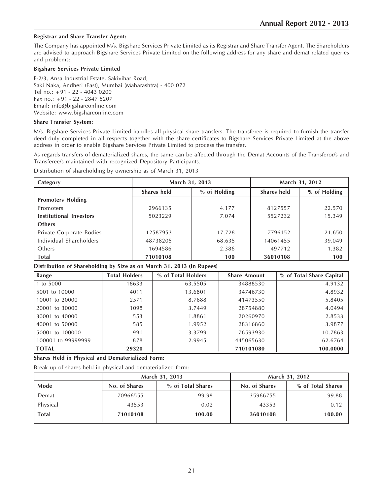### Registrar and Share Transfer Agent:

The Company has appointed M/s. Bigshare Services Private Limited as its Registrar and Share Transfer Agent. The Shareholders are advised to approach Bigshare Services Private Limited on the following address for any share and demat related queries and problems:

### Bigshare Services Private Limited

E-2/3, Ansa Industrial Estate, Sakivihar Road, Saki Naka, Andheri (East), Mumbai (Maharashtra) - 400 072 Tel no.: +91 - 22 - 4043 0200 Fax no.: +91 - 22 - 2847 5207 Email: info@bigshareonline.com Website: www.bigshareonline.com

### Share Transfer System:

M/s. Bigshare Services Private Limited handles all physical share transfers. The transferee is required to furnish the transfer deed duly completed in all respects together with the share certificates to Bigshare Services Private Limited at the above address in order to enable Bigshare Services Private Limited to process the transfer.

As regards transfers of dematerialized shares, the same can be affected through the Demat Accounts of the Transferor/s and Transferee/s maintained with recognized Depository Participants.

Distribution of shareholding by ownership as of March 31, 2013

| Category                       | March 31, 2013     |              | March 31, 2012     |              |
|--------------------------------|--------------------|--------------|--------------------|--------------|
|                                | <b>Shares held</b> | % of Holding | <b>Shares held</b> | % of Holding |
| <b>Promoters Holding</b>       |                    |              |                    |              |
| <b>Promoters</b>               | 2966135            | 4.177        | 8127557            | 22.570       |
| <b>Institutional Investors</b> | 5023229            | 7.074        | 5527232            | 15.349       |
| <b>Others</b>                  |                    |              |                    |              |
| Private Corporate Bodies       | 12587953           | 17.728       | 7796152            | 21.650       |
| Individual Shareholders        | 48738205           | 68.635       | 14061455           | 39.049       |
| Others                         | 1694586            | 2.386        | 497712             | 1.382        |
| <b>Total</b>                   | 71010108           | 100          | 36010108           | 100          |

### Distribution of Shareholding by Size as on March 31, 2013 (In Rupees)

| Range              | <b>Total Holders</b> | % of Total Holders | <b>Share Amount</b> | % of Total Share Capital |
|--------------------|----------------------|--------------------|---------------------|--------------------------|
| 1 to 5000          | 18633                | 63.5505            | 34888530            | 4.9132                   |
| 5001 to 10000      | 4011                 | 13.6801            | 34746730            | 4.8932                   |
| 10001 to 20000     | 2571                 | 8.7688             | 41473550            | 5.8405                   |
| 20001 to 30000     | 1098                 | 3.7449             | 28754880            | 4.0494                   |
| 30001 to 40000     | 553                  | 1.8861             | 20260970            | 2.8533                   |
| 40001 to 50000     | 585                  | 1.9952             | 28316860            | 3.9877                   |
| 50001 to 100000    | 991                  | 3.3799             | 76593930            | 10.7863                  |
| 100001 to 99999999 | 878                  | 2.9945             | 445065630           | 62.6764                  |
| <b>TOTAL</b>       | 29320                |                    | 710101080           | 100.0000                 |

### Shares Held in Physical and Dematerialized Form:

Break up of shares held in physical and dematerialized form:

|              |                                    | March 31, 2013 | March 31, 2012 |                   |  |
|--------------|------------------------------------|----------------|----------------|-------------------|--|
| Mode         | % of Total Shares<br>No. of Shares |                | No. of Shares  | % of Total Shares |  |
| Demat        | 70966555                           | 99.98          | 35966755       | 99.88             |  |
| Physical     | 43553                              | 0.02           | 43353          | 0.12              |  |
| <b>Total</b> | 71010108                           | 100.00         | 36010108       | 100.00            |  |
|              |                                    |                |                |                   |  |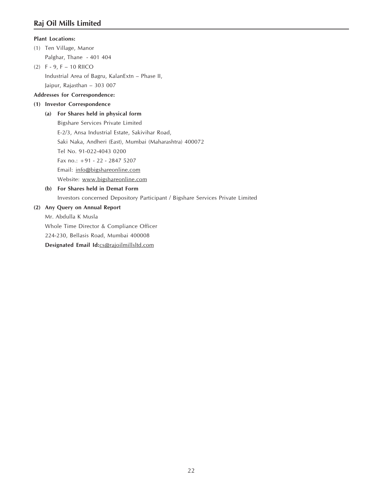### Plant Locations:

(1) Ten Village, Manor Palghar, Thane - 401 404

(2) F - 9, F – 10 RIICO Industrial Area of Bagru, KalanExtn – Phase II, Jaipur, Rajasthan – 303 007

### Addresses for Correspondence:

### (1) Investor Correspondence

### (a) For Shares held in physical form

Bigshare Services Private Limited E-2/3, Ansa Industrial Estate, Sakivihar Road, Saki Naka, Andheri (East), Mumbai (Maharashtra) 400072 Tel No. 91-022-4043 0200 Fax no.: +91 - 22 - 2847 5207 Email: info@bigshareonline.com

Website: www.bigshareonline.com

(b) For Shares held in Demat Form Investors concerned Depository Participant / Bigshare Services Private Limited

### (2) Any Query on Annual Report

Mr. Abdulla K Musla

Whole Time Director & Compliance Officer

224-230, Bellasis Road, Mumbai 400008

Designated Email Id:cs@rajoilmillsltd.com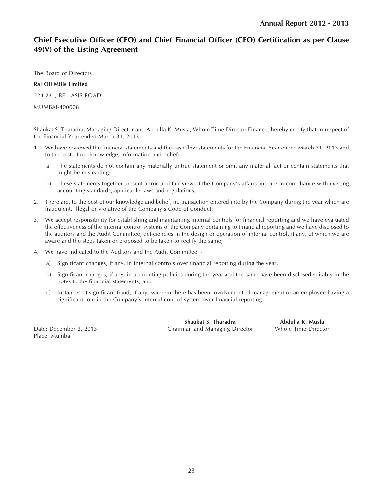# Chief Executive Officer (CEO) and Chief Financial Officer (CFO) Certification as per Clause 49(V) of the Listing Agreement

The Board of Directors

### Raj Oil Mills Limited

224-230, BELLASIS ROAD,

MUMBAI-400008

Shaukat S. Tharadra, Managing Director and Abdulla K. Musla, Whole Time Director Finance, hereby certify that in respect of the Financial Year ended March 31, 2013: -

- 1. We have reviewed the financial statements and the cash flow statements for the Financial Year ended March 31, 2013 and to the best of our knowledge, information and belief:
	- a) The statements do not contain any materially untrue statement or omit any material fact or contain statements that might be misleading:
	- b) These statements together present a true and fair view of the Company's affairs and are in compliance with existing accounting standards, applicable laws and regulations;
- 2. There are, to the best of our knowledge and belief, no transaction entered into by the Company during the year which are fraudulent, illegal or violative of the Company's Code of Conduct;
- 3. We accept responsibility for establishing and maintaining internal controls for financial reporting and we have evaluated the effectiveness of the internal control systems of the Company pertaining to financial reporting and we have disclosed to the auditors and the Audit Committee, deficiencies in the design or operation of internal control, if any, of which we are aware and the steps taken or proposed to be taken to rectify the same;
- 4. We have indicated to the Auditors and the Audit Committee:
	- a) Significant changes, if any, in internal controls over financial reporting during the year;
	- b) Significant changes, if any, in accounting policies during the year and the same have been disclosed suitably in the notes to the financial statements; and
	- c) Instances of significant fraud, if any, wherein there has been involvement of management or an employee having a significant role in the Company's internal control system over financial reporting.

Place: Mumbai

Shaukat S. Tharadra **Abdulla K. Musla** Date: December 2, 2013 Chairman and Managing Director Whole Time Director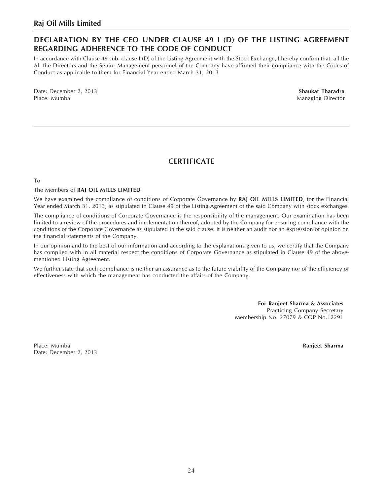### DECLARATION BY THE CEO UNDER CLAUSE 49 I (D) OF THE LISTING AGREEMENT REGARDING ADHERENCE TO THE CODE OF CONDUCT

In accordance with Clause 49 sub- clause I (D) of the Listing Agreement with the Stock Exchange, I hereby confirm that, all the All the Directors and the Senior Management personnel of the Company have affirmed their compliance with the Codes of Conduct as applicable to them for Financial Year ended March 31, 2013

Date: December 2, 2013 Shaukat Tharadra Shaukat Tharadra Shaukat Tharadra Shaukat Tharadra Shaukat Tharadra Shaukat Tharadra Shaukat Tharadra Shaukat Tharadra Shaukat Tharadra Shaukat Tharadra Shaukat Tharadra Shaukat Thar Place: Mumbai Managing Director National According Managing Director National Managing Director

### **CERTIFICATE**

To

### The Members of RAJ OIL MILLS LIMITED

We have examined the compliance of conditions of Corporate Governance by RAJ OIL MILLS LIMITED, for the Financial Year ended March 31, 2013, as stipulated in Clause 49 of the Listing Agreement of the said Company with stock exchanges.

The compliance of conditions of Corporate Governance is the responsibility of the management. Our examination has been limited to a review of the procedures and implementation thereof, adopted by the Company for ensuring compliance with the conditions of the Corporate Governance as stipulated in the said clause. It is neither an audit nor an expression of opinion on the financial statements of the Company.

In our opinion and to the best of our information and according to the explanations given to us, we certify that the Company has complied with in all material respect the conditions of Corporate Governance as stipulated in Clause 49 of the abovementioned Listing Agreement.

We further state that such compliance is neither an assurance as to the future viability of the Company nor of the efficiency or effectiveness with which the management has conducted the affairs of the Company.

> For Ranjeet Sharma & Associates Practicing Company Secretary Membership No. 27079 & COP No.12291

Place: Mumbai Ranjeet Sharma Ranjeet Sharma Ranjeet Sharma Ranjeet Sharma Ranjeet Sharma Ranjeet Sharma Ranjeet Sharma Ranjeet Sharma Ranjeet Sharma Ranjeet Sharma Ranjeet Sharma Ranjeet Sharma Ranjeet Sharma Ranjeet Sharm Date: December 2, 2013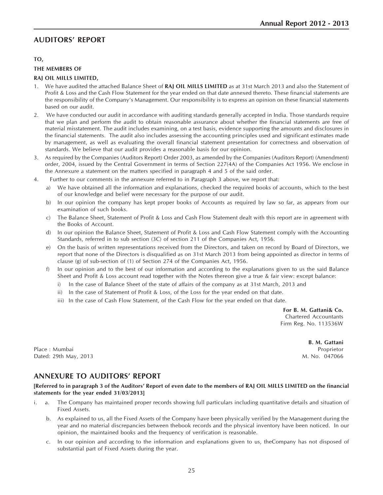## AUDITORS' REPORT

TO,

### THE MEMBERS OF

### RAJ OIL MILLS LIMITED,

- 1. We have audited the attached Balance Sheet of RAJ OIL MILLS LIMITED as at 31st March 2013 and also the Statement of Profit & Loss and the Cash Flow Statement for the year ended on that date annexed thereto. These financial statements are the responsibility of the Company's Management. Our responsibility is to express an opinion on these financial statements based on our audit.
- 2. We have conducted our audit in accordance with auditing standards generally accepted in India. Those standards require that we plan and perform the audit to obtain reasonable assurance about whether the financial statements are free of material misstatement. The audit includes examining, on a test basis, evidence supporting the amounts and disclosures in the financial statements. The audit also includes assessing the accounting principles used and significant estimates made by management, as well as evaluating the overall financial statement presentation for correctness and observation of standards. We believe that our audit provides a reasonable basis for our opinion.
- 3. As required by the Companies (Auditors Report) Order 2003, as amended by the Companies (Auditors Report) (Amendment) order, 2004, issued by the Central Government in terms of Section 227(4A) of the Companies Act 1956. We enclose in the Annexure a statement on the matters specified in paragraph 4 and 5 of the said order.
- 4. Further to our comments in the annexure referred to in Paragraph 3 above, we report that:
	- a) We have obtained all the information and explanations, checked the required books of accounts, which to the best of our knowledge and belief were necessary for the purpose of our audit.
	- b) In our opinion the company has kept proper books of Accounts as required by law so far, as appears from our examination of such books.
	- c) The Balance Sheet, Statement of Profit & Loss and Cash Flow Statement dealt with this report are in agreement with the Books of Account.
	- d) In our opinion the Balance Sheet, Statement of Profit & Loss and Cash Flow Statement comply with the Accounting Standards, referred in to sub section (3C) of section 211 of the Companies Act, 1956.
	- e) On the basis of written representations received from the Directors, and taken on record by Board of Directors, we report that none of the Directors is disqualified as on 31st March 2013 from being appointed as director in terms of clause (g) of sub-section of (1) of Section 274 of the Companies Act, 1956.
	- f) In our opinion and to the best of our information and according to the explanations given to us the said Balance Sheet and Profit & Loss account read together with the Notes thereon give a true & fair view: except balance:
		- i) In the case of Balance Sheet of the state of affairs of the company as at 31st March, 2013 and
		- ii) In the case of Statement of Profit & Loss, of the Loss for the year ended on that date.
		- iii) In the case of Cash Flow Statement, of the Cash Flow for the year ended on that date.

For B. M. Gattani& Co. Chartered Accountants Firm Reg. No. 113536W

Place : Mumbai Proprietor Proprietor Proprietor Proprietor Proprietor Proprietor Proprietor Proprietor Proprietor Dated: 29th May, 2013 M. No. 047066

B. M. Gattani

## ANNEXURE TO AUDITORS' REPORT

[Referred to in paragraph 3 of the Auditors' Report of even date to the members of RAJ OIL MILLS LIMITED on the financial statements for the year ended 31/03/2013]

- i. a. The Company has maintained proper records showing full particulars including quantitative details and situation of Fixed Assets.
	- b. As explained to us, all the Fixed Assets of the Company have been physically verified by the Management during the year and no material discrepancies between thebook records and the physical inventory have been noticed. In our opinion, the maintained books and the frequency of verification is reasonable.
	- c. In our opinion and according to the information and explanations given to us, theCompany has not disposed of substantial part of Fixed Assets during the year.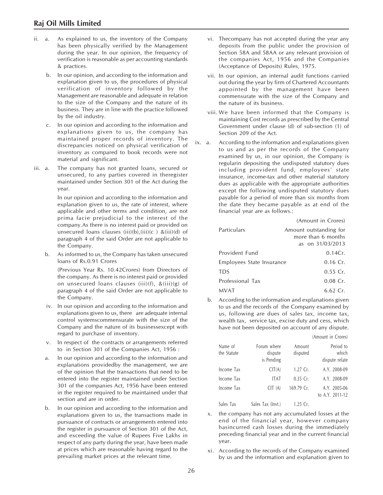- ii. a. As explained to us, the inventory of the Company has been physically verified by the Management during the year. In our opinion, the frequency of verification is reasonable as per accounting standards & practices.
	- b. In our opinion, and according to the information and explanation given to us, the procedures of physical verification of inventory followed by the Management are reasonable and adequate in relation to the size of the Company and the nature of its business. They are in line with the practice followed by the oil industry.
	- c. In our opinion and according to the information and explanations given to us, the company has maintained proper records of inventory. The discrepancies noticed on physical verification of inventory as compared to book records were not material and significant.
- iii. a. The company has not granted loans, secured or unsecured, to any parties covered in theregister maintained under Section 301 of the Act during the year.

In our opinion and according to the information and explanation given to us, the rate of interest, where applicable and other terms and condition, are not prima facie prejudicial to the interest of the company.As there is no interest paid or provided on unsecured loans clauses (iii)(b),(iii)(c) &(iii)(d) of paragraph 4 of the said Order are not applicable to the Company.

b. As informed to us, the Company has taken unsecured loans of Rs.0.91 Crores

(Previous Year Rs. 10.42Crores) from Directors of the company. As there is no interest paid or provided on unsecured loans clauses (iii)(f), &(iii)(g) of paragraph 4 of the said Order are not applicable to the Company.

- iv. In our opinion and according to the information and explanations given to us, there are adequate internal control systemscommensurate with the size of the Company and the nature of its businessexcept with regard to purchase of inventory.
- v. In respect of the contracts or arrangements referred to in Section 301 of the Companies Act, 1956 :
- a. In our opinion and according to the information and explanations providedby the management, we are of the opinion that the transactions that need to be entered into the register maintained under Section 301 of the companies Act, 1956 have been entered in the register required to be maintained under that section and are in order.
- b. In our opinion and according to the information and explanations given to us, the transactions made in pursuance of contracts or arrangements entered into the register in pursuance of Section 301 of the Act, and exceeding the value of Rupees Five Lakhs in respect of any party during the year, have been made at prices which are reasonable having regard to the prevailing market prices at the relevant time.
- vi. Thecompany has not accepted during the year any deposits from the public under the provision of Section 58A and 58AA or any relevant provision of the companies Act, 1956 and the Companies (Acceptance of Deposits) Rules, 1975.
- vii. In our opinion, an internal audit functions carried out during the year by firm of Chartered Accountants appointed by the management have been commensurate with the size of the Company and the nature of its business.
- viii. We have been informed that the Company is maintaining Cost records as prescribed by the Central Government under clause (d) of sub-section (1) of Section 209 of the Act.
- ix. a. According to the information and explanations given to us and as per the records of the Company examined by us, in our opinion, the Company is regularin depositing the undisputed statutory dues including provident fund, employees' state insurance, income-tax and other material statutory dues as applicable with the appropriate authorities except the following undisputed statutory dues payable for a period of more than six months from the date they became payable as at end of the financial year are as follows.:

|                           | (Amount in Crores)                                               |  |  |  |
|---------------------------|------------------------------------------------------------------|--|--|--|
| Particulars               | Amount outstanding for<br>more than 6 months<br>as on 31/03/2013 |  |  |  |
| Provident Fund            | 0.14Cr.                                                          |  |  |  |
| Employees State Insurance | $0.16$ Cr.                                                       |  |  |  |
| <b>TDS</b>                | $0.55$ Cr.                                                       |  |  |  |
| Professional Tax          | $0.08$ Cr.                                                       |  |  |  |
| MVAT                      | $6.62$ Cr.                                                       |  |  |  |

b. According to the information and explanations given to us and the records of the Company examined by us, following are dues of sales tax, income tax, wealth tax, service tax, excise duty and cess, which have not been deposited on account of any dispute.

|             |             |            | (Amount in Crores) |
|-------------|-------------|------------|--------------------|
| Name of     | Forum where | Amount     | Period to          |
| the Statute | dispute     | disputed   | which              |
|             | is Pending  |            | dispute relate     |
| Income Tax  | CIT(A)      | $1.27$ Cr. | A.Y. 2008-09       |
| Income Tax  | <b>ITAT</b> | $0.35$ Cr. | A.Y. 2008-09       |
| Income Tax  | CIT(A)      | 169.79 Cr. | A.Y. 2005-06       |
|             |             |            | to A.Y. 2011-12    |
|             |             |            |                    |

Sales Tax Sales Tax (Invt.) 1.25 Cr.

- x. the company has not any accumulated losses at the end of the financial year, however company hasincurred cash losses during the immediately preceding financial year and in the current financial year.
- xi. According to the records of the Company examined by us and the information and explanation given to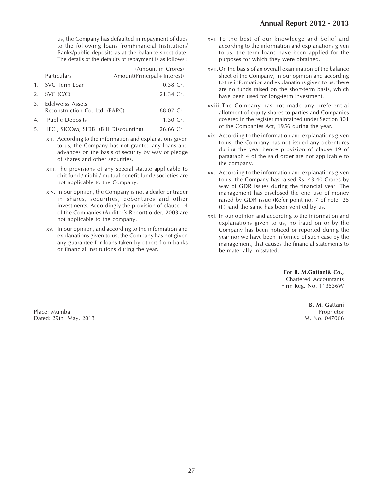us, the Company has defaulted in repayment of dues to the following loans fromFinancial Institution/ Banks/public deposits as at the balance sheet date. The details of the defaults of repayment is as follows :

|    |                                                       | (Amount in Crores)           |
|----|-------------------------------------------------------|------------------------------|
|    | Particulars                                           | Amount(Principal + Interest) |
|    | 1. SVC Term Loan                                      | $0.38$ Cr.                   |
| 2. | $SVC$ ( $C/C$ )                                       | 21.34 Cr.                    |
|    | 3. Edelweiss Assets<br>Reconstruction Co. Ltd. (EARC) | 68.07 Cr.                    |
| 4. | <b>Public Deposits</b>                                | 1.30 $Cr.$                   |
| 5. | IFCI, SICOM, SIDBI (Bill Discounting)                 | 26.66 Cr.                    |
|    |                                                       |                              |

- xii. According to the information and explanations given to us, the Company has not granted any loans and advances on the basis of security by way of pledge of shares and other securities.
- xiii. The provisions of any special statute applicable to chit fund / nidhi / mutual benefit fund / societies are not applicable to the Company.
- xiv. In our opinion, the Company is not a dealer or trader in shares, securities, debentures and other investments. Accordingly the provision of clause 14 of the Companies (Auditor's Report) order, 2003 are not applicable to the company.
- xv. In our opinion, and according to the information and explanations given to us, the Company has not given any guarantee for loans taken by others from banks or financial institutions during the year.
- xvi. To the best of our knowledge and belief and according to the information and explanations given to us, the term loans have been applied for the purposes for which they were obtained.
- xvii.On the basis of an overall examination of the balance sheet of the Company, in our opinion and according to the information and explanations given to us, there are no funds raised on the short-term basis, which have been used for long-term investment.
- xviii.The Company has not made any preferential allotment of equity shares to parties and Companies covered in the register maintained under Section 301 of the Companies Act, 1956 during the year.
- xix. According to the information and explanations given to us, the Company has not issued any debentures during the year hence provision of clause 19 of paragraph 4 of the said order are not applicable to the company.
- xx. According to the information and explanations given to us, the Company has raised Rs. 43.40 Crores by way of GDR issues during the financial year. The management has disclosed the end use of money raised by GDR issue (Refer point no. 7 of note 25 (II) )and the same has been verified by us.
- xxi. In our opinion and according to the information and explanations given to us, no fraud on or by the Company has been noticed or reported during the year nor we have been informed of such case by the management, that causes the financial statements to be materially misstated.

For B. M.Gattani& Co., Chartered Accountants Firm Reg. No. 113536W

Place: Mumbai Proprietor Dated: 29th May, 2013 M. No. 047066

B. M. Gattani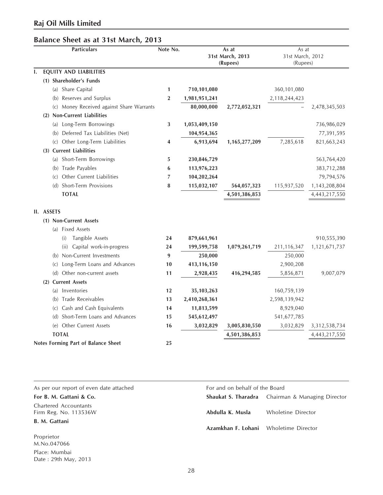# Raj Oil Mills Limited

# Balance Sheet as at 31st March, 2013

|    | <b>Particulars</b>                        | Note No.       |               | As at                        | As at                        |               |
|----|-------------------------------------------|----------------|---------------|------------------------------|------------------------------|---------------|
|    |                                           |                |               | 31st March, 2013<br>(Rupees) | 31st March, 2012<br>(Rupees) |               |
| ı. | <b>EQUITY AND LIABILITIES</b>             |                |               |                              |                              |               |
|    | (1) Shareholder's Funds                   |                |               |                              |                              |               |
|    | (a) Share Capital                         | $\mathbf{1}$   | 710,101,080   |                              | 360,101,080                  |               |
|    | (b) Reserves and Surplus                  | $\overline{2}$ | 1,981,951,241 |                              | 2,118,244,423                |               |
|    | (c) Money Received against Share Warrants |                | 80,000,000    | 2,772,052,321                |                              | 2,478,345,503 |
|    | (2) Non-Current Liabilities               |                |               |                              |                              |               |
|    | (a) Long-Term Borrowings                  | 3              | 1,053,409,150 |                              |                              | 736,986,029   |
|    | (b) Deferred Tax Liabilities (Net)        |                | 104,954,365   |                              |                              | 77,391,595    |
|    | (c) Other Long-Term Liabilities           | 4              | 6,913,694     | 1,165,277,209                | 7,285,618                    | 821,663,243   |
|    | (3) Current Liabilities                   |                |               |                              |                              |               |
|    | (a) Short-Term Borrowings                 | 5              | 230,846,729   |                              |                              | 563,764,420   |
|    | (b) Trade Payables                        | 6              | 113,976,223   |                              |                              | 383,712,288   |
|    | Other Current Liabilities<br>(c)          | 7              | 104,202,264   |                              |                              | 79,794,576    |
|    | (d) Short-Term Provisions                 | 8              | 115,032,107   | 564,057,323                  | 115,937,520                  | 1,143,208,804 |
|    | <b>TOTAL</b>                              |                |               | 4,501,386,853                |                              | 4,443,217,550 |
|    | II. ASSETS                                |                |               |                              |                              |               |
|    | (1) Non-Current Assets                    |                |               |                              |                              |               |
|    | (a) Fixed Assets                          |                |               |                              |                              |               |
|    | Tangible Assets<br>(i)                    | 24             | 879,661,961   |                              |                              | 910,555,390   |
|    | (ii) Capital work-in-progress             | 24             | 199,599,758   | 1,079,261,719                | 211,116,347                  | 1,121,671,737 |
|    | (b) Non-Current Investments               | 9              | 250,000       |                              | 250,000                      |               |
|    | Long-Term Loans and Advances<br>(c)       | 10             | 413,116,150   |                              | 2,900,208                    |               |
|    | (d) Other non-current assets              | 11             | 2,928,435     | 416,294,585                  | 5,856,871                    | 9,007,079     |
|    | (2) Current Assets                        |                |               |                              |                              |               |
|    | (a) Inventories                           | 12             | 35, 103, 263  |                              | 160,759,139                  |               |
|    | (b) Trade Receivables                     | 13             | 2,410,268,361 |                              | 2,598,139,942                |               |
|    | Cash and Cash Equivalents<br>(c)          | 14             | 11,813,599    |                              | 8,929,040                    |               |
|    | Short-Term Loans and Advances<br>(d)      | 15             | 545,612,497   |                              | 541,677,785                  |               |
|    | (e) Other Current Assets                  | 16             | 3,032,829     | 3,005,830,550                | 3,032,829                    | 3,312,538,734 |
|    | <b>TOTAL</b>                              |                |               | 4,501,386,853                |                              | 4,443,217,550 |
|    | Notes Forming Part of Balance Sheet       | 25             |               |                              |                              |               |

As per our report of even date attached

For B. M. Gattani & Co.

Chartered Accountants Firm Reg. No.  $113536W$ 

### B. M. Gattani

Proprietor M.No.047066 Place: Mumbai Date : 29th May, 2013

| For and on behalf of the Board               |                                                         |  |  |  |  |  |
|----------------------------------------------|---------------------------------------------------------|--|--|--|--|--|
|                                              | <b>Shaukat S. Tharadra</b> Chairman & Managing Director |  |  |  |  |  |
| <b>Abdulla K. Musla</b> Wholetine Director   |                                                         |  |  |  |  |  |
| <b>Azamkhan F. Lohani</b> Wholetime Director |                                                         |  |  |  |  |  |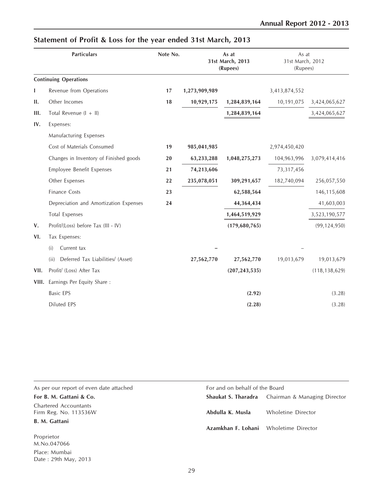# Statement of Profit & Loss for the year ended 31st March, 2013

| <b>Particulars</b> |                                          | Note No. | As at<br>31st March, 2013<br>(Rupees) |                 | As at<br>31st March, 2012<br>(Rupees) |                 |
|--------------------|------------------------------------------|----------|---------------------------------------|-----------------|---------------------------------------|-----------------|
|                    | <b>Continuing Operations</b>             |          |                                       |                 |                                       |                 |
| Т                  | Revenue from Operations                  | 17       | 1,273,909,989                         |                 | 3,413,874,552                         |                 |
| П.                 | Other Incomes                            | $18\,$   | 10,929,175                            | 1,284,839,164   | 10,191,075                            | 3,424,065,627   |
| III.               | Total Revenue $(I + II)$                 |          |                                       | 1,284,839,164   |                                       | 3,424,065,627   |
| IV.                | Expenses:                                |          |                                       |                 |                                       |                 |
|                    | Manufacturing Expenses                   |          |                                       |                 |                                       |                 |
|                    | Cost of Materials Consumed               | 19       | 985,041,985                           |                 | 2,974,450,420                         |                 |
|                    | Changes in Inventory of Finished goods   | $20\,$   | 63,233,288                            | 1,048,275,273   | 104,963,996                           | 3,079,414,416   |
|                    | Employee Benefit Expenses                | 21       | 74,213,606                            |                 | 73,317,456                            |                 |
|                    | Other Expenses                           | 22       | 235,078,051                           | 309,291,657     | 182,740,094                           | 256,057,550     |
|                    | Finance Costs                            | 23       |                                       | 62,588,564      |                                       | 146, 115, 608   |
|                    | Depreciation and Amortization Expenses   | 24       |                                       | 44,364,434      |                                       | 41,603,003      |
|                    | <b>Total Expenses</b>                    |          |                                       | 1,464,519,929   |                                       | 3,523,190,577   |
| V.                 | Profit/(Loss) before Tax (III - IV)      |          |                                       | (179,680,765)   |                                       | (99, 124, 950)  |
| VI.                | Tax Expenses:                            |          |                                       |                 |                                       |                 |
|                    | (i)<br>Current tax                       |          |                                       |                 |                                       |                 |
|                    | Deferred Tax Liabilities/ (Asset)<br>(i) |          | 27,562,770                            | 27,562,770      | 19,013,679                            | 19,013,679      |
| VII.               | Profit/ (Loss) After Tax                 |          |                                       | (207, 243, 535) |                                       | (118, 138, 629) |
| VIII.              | Earnings Per Equity Share:               |          |                                       |                 |                                       |                 |
|                    | <b>Basic EPS</b>                         |          |                                       | (2.92)          |                                       | (3.28)          |
|                    | Diluted EPS                              |          |                                       | (2.28)          |                                       | (3.28)          |

| As per our report of even date attached        | For and on behalf of the Board |                                                         |  |
|------------------------------------------------|--------------------------------|---------------------------------------------------------|--|
| For B. M. Gattani & Co.                        |                                | <b>Shaukat S. Tharadra</b> Chairman & Managing Director |  |
| Chartered Accountants<br>Firm Reg. No. 113536W | Abdulla K. Musla               | Wholetine Director                                      |  |
| B. M. Gattani                                  |                                | <b>Azamkhan F. Lohani</b> Wholetime Director            |  |
| Proprietor<br>M.No.047066                      |                                |                                                         |  |
| Place: Mumbai<br>Date: 29th May, 2013          |                                |                                                         |  |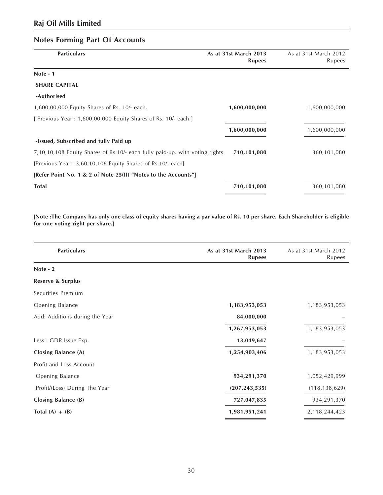| <b>Particulars</b>                                                          | As at 31st March 2013<br><b>Rupees</b> | As at 31st March 2012<br>Rupees |
|-----------------------------------------------------------------------------|----------------------------------------|---------------------------------|
| Note - 1                                                                    |                                        |                                 |
| <b>SHARE CAPITAL</b>                                                        |                                        |                                 |
| -Authorised                                                                 |                                        |                                 |
| 1,600,00,000 Equity Shares of Rs. 10/- each.                                | 1,600,000,000                          | 1,600,000,000                   |
| [ Previous Year: 1,600,00,000 Equity Shares of Rs. 10/- each ]              |                                        |                                 |
|                                                                             | 1,600,000,000                          | 1,600,000,000                   |
| -Issued, Subscribed and fully Paid up                                       |                                        |                                 |
| 7,10,10,108 Equity Shares of Rs.10/- each fully paid-up. with voting rights | 710,101,080                            | 360,101,080                     |
| [Previous Year: $3,60,10,108$ Equity Shares of Rs.10/- each]                |                                        |                                 |
| [Refer Point No. 1 & 2 of Note 25(II) "Notes to the Accounts"]              |                                        |                                 |
| <b>Total</b>                                                                | 710,101,080                            | 360,101,080                     |

[Note :The Company has only one class of equity shares having a par value of Rs. 10 per share. Each Shareholder is eligible for one voting right per share.]

| <b>Particulars</b>             | As at 31st March 2013<br><b>Rupees</b> | As at 31st March 2012<br>Rupees |
|--------------------------------|----------------------------------------|---------------------------------|
| Note $-2$                      |                                        |                                 |
| Reserve & Surplus              |                                        |                                 |
| Securities Premium             |                                        |                                 |
| Opening Balance                | 1,183,953,053                          | 1,183,953,053                   |
| Add: Additions during the Year | 84,000,000                             |                                 |
|                                | 1,267,953,053                          | 1,183,953,053                   |
| Less : GDR Issue Exp.          | 13,049,647                             |                                 |
| Closing Balance (A)            | 1,254,903,406                          | 1,183,953,053                   |
| Profit and Loss Account        |                                        |                                 |
| Opening Balance                | 934,291,370                            | 1,052,429,999                   |
| Profit/(Loss) During The Year  | (207, 243, 535)                        | (118, 138, 629)                 |
| <b>Closing Balance (B)</b>     | 727,047,835                            | 934,291,370                     |
| Total $(A) + (B)$              | 1,981,951,241                          | 2,118,244,423                   |
|                                |                                        |                                 |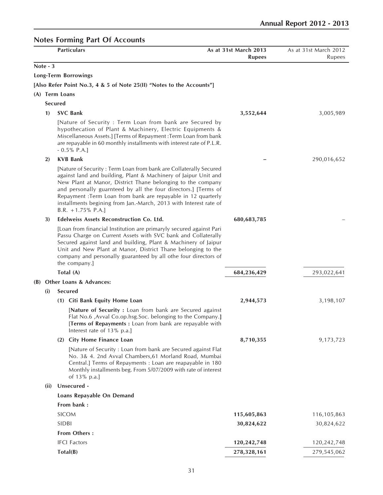|                |         | <b>Particulars</b>                                                                                                                                                                                                                                                                                                                                                                                                                 | As at 31st March 2013<br><b>Rupees</b> | As at 31st March 2012<br>Rupees |
|----------------|---------|------------------------------------------------------------------------------------------------------------------------------------------------------------------------------------------------------------------------------------------------------------------------------------------------------------------------------------------------------------------------------------------------------------------------------------|----------------------------------------|---------------------------------|
| Note - 3       |         |                                                                                                                                                                                                                                                                                                                                                                                                                                    |                                        |                                 |
|                |         | <b>Long-Term Borrowings</b>                                                                                                                                                                                                                                                                                                                                                                                                        |                                        |                                 |
|                |         | [Also Refer Point No.3, 4 & 5 of Note 25(II) "Notes to the Accounts"]                                                                                                                                                                                                                                                                                                                                                              |                                        |                                 |
| (A) Term Loans |         |                                                                                                                                                                                                                                                                                                                                                                                                                                    |                                        |                                 |
|                | Secured |                                                                                                                                                                                                                                                                                                                                                                                                                                    |                                        |                                 |
| $\bf{1)}$      |         | <b>SVC Bank</b>                                                                                                                                                                                                                                                                                                                                                                                                                    | 3,552,644                              | 3,005,989                       |
|                |         | [Nature of Security : Term Loan from bank are Secured by<br>hypothecation of Plant & Machinery, Electric Equipments &<br>Miscellaneous Assets.] [Terms of Repayment : Term Loan from bank<br>are repayable in 60 monthly installments with interest rate of P.L.R.<br>$-0.5\%$ P.A.]                                                                                                                                               |                                        |                                 |
| 2)             |         | <b>KVB Bank</b>                                                                                                                                                                                                                                                                                                                                                                                                                    |                                        | 290,016,652                     |
|                |         | [Nature of Security: Term Loan from bank are Collaterally Secured<br>against land and building, Plant & Machinery of Jaipur Unit and<br>New Plant at Manor, District Thane belonging to the company<br>and personally guarnteed by all the four directors.] [Terms of<br>Repayment: Term Loan from bank are repayable in 12 quarterly<br>installments begining from Jan.-March, 2013 with Interest rate of<br>$B.R. + 1.75\% P.A.$ |                                        |                                 |
| 3)             |         | Edelweiss Assets Reconstruction Co. Ltd.                                                                                                                                                                                                                                                                                                                                                                                           | 680,683,785                            |                                 |
|                |         | [Loan from financial Institution are primaryly secured against Pari<br>Passu Charge on Current Assets with SVC bank and Collaterally<br>Secured against land and building, Plant & Machinery of Jaipur<br>Unit and New Plant at Manor, District Thane belonging to the<br>company and personally guaranteed by all othe four directors of<br>the company.]                                                                         |                                        |                                 |
|                |         | Total (A)                                                                                                                                                                                                                                                                                                                                                                                                                          | 684,236,429                            | 293,022,641                     |
|                |         | (B) Other Loans & Advances:                                                                                                                                                                                                                                                                                                                                                                                                        |                                        |                                 |
| (i)            |         | <b>Secured</b>                                                                                                                                                                                                                                                                                                                                                                                                                     |                                        |                                 |
|                |         | (1) Citi Bank Equity Home Loan                                                                                                                                                                                                                                                                                                                                                                                                     | 2,944,573                              | 3,198,107                       |
|                |         | [Nature of Security : Loan from bank are Secured against<br>Flat No.6 , Avval Co.op.hsg.Soc. belonging to the Company.]<br>[Terms of Repayments : Loan from bank are repayable with<br>Interest rate of $13\%$ p.a.]                                                                                                                                                                                                               |                                        |                                 |
|                |         | (2) City Home Finance Loan                                                                                                                                                                                                                                                                                                                                                                                                         | 8,710,355                              | 9,173,723                       |
|                |         | [Nature of Security : Loan from bank are Secured against Flat<br>No. 3& 4. 2nd Avval Chambers, 61 Morland Road, Mumbai<br>Central.] Terms of Repayments : Loan are reapayable in 180<br>Monthly installments beg. From 5/07/2009 with rate of interest<br>of 13% p.a.]                                                                                                                                                             |                                        |                                 |
| (ii)           |         | Unsecured -                                                                                                                                                                                                                                                                                                                                                                                                                        |                                        |                                 |
|                |         | Loans Repayable On Demand                                                                                                                                                                                                                                                                                                                                                                                                          |                                        |                                 |
|                |         | From bank:                                                                                                                                                                                                                                                                                                                                                                                                                         |                                        |                                 |
|                |         | <b>SICOM</b>                                                                                                                                                                                                                                                                                                                                                                                                                       | 115,605,863                            | 116,105,863                     |
|                |         | <b>SIDBI</b>                                                                                                                                                                                                                                                                                                                                                                                                                       | 30,824,622                             | 30,824,622                      |
|                |         | From Others:                                                                                                                                                                                                                                                                                                                                                                                                                       |                                        |                                 |
|                |         | <b>IFCI Factors</b>                                                                                                                                                                                                                                                                                                                                                                                                                | 120,242,748                            | 120,242,748                     |
|                |         | Total(B)                                                                                                                                                                                                                                                                                                                                                                                                                           | 278,328,161                            | 279,545,062                     |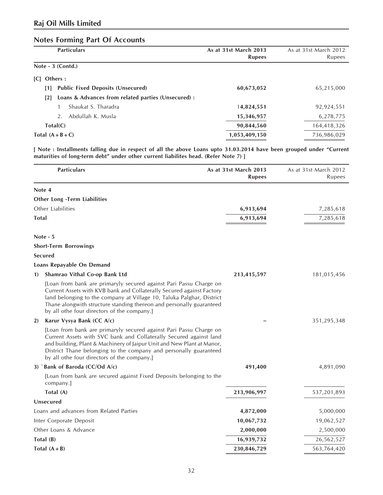| <b>Particulars</b>                                         | As at 31st March 2013 | As at 31st March 2012 |
|------------------------------------------------------------|-----------------------|-----------------------|
| Note - 3 (Contd.)                                          | <b>Rupees</b>         | Rupees                |
|                                                            |                       |                       |
| Others:<br> C                                              |                       |                       |
| <b>Public Fixed Deposits (Unsecured)</b><br>[1]            | 60,673,052            | 65,215,000            |
| Loans & Advances from related parties (Unsecured) :<br>[2] |                       |                       |
| Shaukat S. Tharadra                                        | 14,824,551            | 92,924,551            |
| Abdullah K. Musla<br>2.                                    | 15,346,957            | 6,278,775             |
| Total(C)                                                   | 90,844,560            | 164,418,326           |
| Total $(A + B + C)$                                        | 1,053,409,150         | 736,986,029           |
|                                                            |                       |                       |

[ Note : Installments falling due in respect of all the above Loans upto 31.03.2014 have been grouped under "Current maturities of long-term debt" under other current liabilites head. (Refer Note 7) ]

| <b>Particulars</b>                                                                                                                                                                                                                                                                                                                          | As at 31st March 2013<br><b>Rupees</b> | As at 31st March 2012<br>Rupees |
|---------------------------------------------------------------------------------------------------------------------------------------------------------------------------------------------------------------------------------------------------------------------------------------------------------------------------------------------|----------------------------------------|---------------------------------|
| Note 4                                                                                                                                                                                                                                                                                                                                      |                                        |                                 |
| <b>Other Long -Term Liabilities</b>                                                                                                                                                                                                                                                                                                         |                                        |                                 |
| Other Liabilities                                                                                                                                                                                                                                                                                                                           | 6,913,694                              | 7,285,618                       |
| <b>Total</b>                                                                                                                                                                                                                                                                                                                                | 6,913,694                              | 7,285,618                       |
| <b>Note - 5</b>                                                                                                                                                                                                                                                                                                                             |                                        |                                 |
| <b>Short-Term Borrowings</b>                                                                                                                                                                                                                                                                                                                |                                        |                                 |
| <b>Secured</b>                                                                                                                                                                                                                                                                                                                              |                                        |                                 |
| Loans Repayable On Demand                                                                                                                                                                                                                                                                                                                   |                                        |                                 |
| Shamrao Vithal Co-op Bank Ltd<br>1)                                                                                                                                                                                                                                                                                                         | 213,415,597                            | 181,015,456                     |
| [Loan from bank are primaryly secured against Pari Passu Charge on<br>Current Assets with KVB bank and Collaterally Secured against Factory<br>land belonging to the company at Village 10, Taluka Palghar, District<br>Thane alongwith structure standing thereon and personally guaranteed<br>by all othe four directors of the company.] |                                        |                                 |
| Karur Vysya Bank (CC A/c)<br>2)                                                                                                                                                                                                                                                                                                             |                                        | 351,295,348                     |
| [Loan from bank are primaryly secured against Pari Passu Charge on<br>Current Assets with SVC bank and Collaterally Secured against land<br>and building, Plant & Machinery of Jaipur Unit and New Plant at Manor,<br>District Thane belonging to the company and personally guaranteed<br>by all othe four directors of the company.]      |                                        |                                 |
| 3) `Bank of Baroda (CC/Od A/c)                                                                                                                                                                                                                                                                                                              | 491,400                                | 4,891,090                       |
| [Loan from bank are secured against Fixed Deposits belonging to the<br>company.]                                                                                                                                                                                                                                                            |                                        |                                 |
| Total (A)                                                                                                                                                                                                                                                                                                                                   | 213,906,997                            | 537,201,893                     |
| Unsecured                                                                                                                                                                                                                                                                                                                                   |                                        |                                 |
| Loans and advances from Related Parties                                                                                                                                                                                                                                                                                                     | 4,872,000                              | 5,000,000                       |
| Inter Corporate Deposit                                                                                                                                                                                                                                                                                                                     | 10,067,732                             | 19,062,527                      |
| Other Loans & Advance                                                                                                                                                                                                                                                                                                                       | 2,000,000                              | 2,500,000                       |
| Total (B)                                                                                                                                                                                                                                                                                                                                   | 16,939,732                             | 26,562,527                      |
| Total $(A + B)$                                                                                                                                                                                                                                                                                                                             | 230,846,729                            | 563,764,420                     |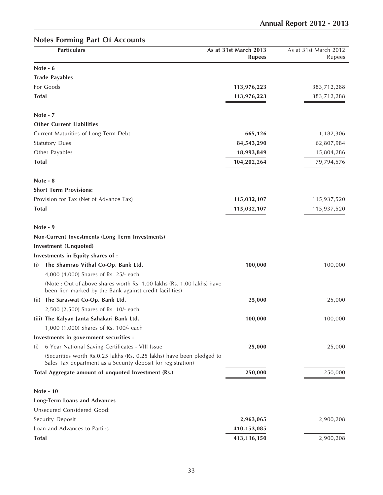|              | <b>Particulars</b>                                                                                                                    | As at 31st March 2013 | As at 31st March 2012 |
|--------------|---------------------------------------------------------------------------------------------------------------------------------------|-----------------------|-----------------------|
|              |                                                                                                                                       | <b>Rupees</b>         | Rupees                |
|              | Note - 6                                                                                                                              |                       |                       |
|              | <b>Trade Payables</b>                                                                                                                 |                       |                       |
|              | For Goods                                                                                                                             | 113,976,223           | 383,712,288           |
| <b>Total</b> |                                                                                                                                       | 113,976,223           | 383,712,288           |
|              | Note $-7$                                                                                                                             |                       |                       |
|              | <b>Other Current Liabilities</b>                                                                                                      |                       |                       |
|              | Current Maturities of Long-Term Debt                                                                                                  | 665,126               | 1,182,306             |
|              | <b>Statutory Dues</b>                                                                                                                 | 84,543,290            | 62,807,984            |
|              | Other Payables                                                                                                                        | 18,993,849            | 15,804,286            |
| <b>Total</b> |                                                                                                                                       | 104,202,264           | 79,794,576            |
|              | Note - 8                                                                                                                              |                       |                       |
|              | <b>Short Term Provisions:</b>                                                                                                         |                       |                       |
|              | Provision for Tax (Net of Advance Tax)                                                                                                | 115,032,107           | 115,937,520           |
| <b>Total</b> |                                                                                                                                       | 115,032,107           | 115,937,520           |
|              | Note - 9                                                                                                                              |                       |                       |
|              | Non-Current Investments (Long Term Investments)                                                                                       |                       |                       |
|              | Investment (Unquoted)                                                                                                                 |                       |                       |
|              | Investments in Equity shares of :                                                                                                     |                       |                       |
| (i)          | The Shamrao Vithal Co-Op. Bank Ltd.                                                                                                   | 100,000               | 100,000               |
|              | 4,000 (4,000) Shares of Rs. 25/- each                                                                                                 |                       |                       |
|              | (Note: Out of above shares worth Rs. 1.00 lakhs (Rs. 1.00 lakhs) have<br>been lien marked by the Bank against credit facilities)      |                       |                       |
|              | (ii) The Saraswat Co-Op. Bank Ltd.                                                                                                    | 25,000                | 25,000                |
|              | 2,500 (2,500) Shares of Rs. 10/- each                                                                                                 |                       |                       |
|              | (iii) The Kalyan Janta Sahakari Bank Ltd.                                                                                             | 100,000               | 100,000               |
|              | 1,000 (1,000) Shares of Rs. 100/- each                                                                                                |                       |                       |
|              | Investments in government securities :                                                                                                |                       |                       |
| (i)          | 6 Year National Saving Certificates - VIII Issue                                                                                      | 25,000                | 25,000                |
|              | (Securities worth Rs.0.25 lakhs (Rs. 0.25 lakhs) have been pledged to<br>Sales Tax department as a Security deposit for registration) |                       |                       |
|              | Total Aggregate amount of unquoted Investment (Rs.)                                                                                   | 250,000               | 250,000               |
|              | <b>Note - 10</b>                                                                                                                      |                       |                       |
|              | <b>Long-Term Loans and Advances</b>                                                                                                   |                       |                       |
|              | Unsecured Considered Good:                                                                                                            |                       |                       |
|              | Security Deposit                                                                                                                      | 2,963,065             | 2,900,208             |
|              | Loan and Advances to Parties                                                                                                          | 410,153,085           |                       |
| <b>Total</b> |                                                                                                                                       | 413,116,150           | 2,900,208             |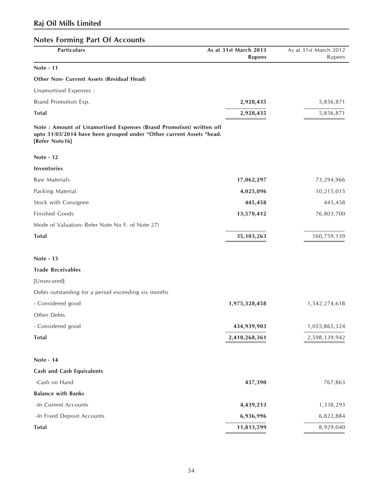| <b>Particulars</b>                                                                                                                                           | As at 31st March 2013<br><b>Rupees</b> | As at 31st March 2012<br>Rupees |
|--------------------------------------------------------------------------------------------------------------------------------------------------------------|----------------------------------------|---------------------------------|
| <b>Note - 11</b>                                                                                                                                             |                                        |                                 |
| Other Non- Current Assets (Residual Head)                                                                                                                    |                                        |                                 |
| Unamortised Expenses :                                                                                                                                       |                                        |                                 |
| Brand Promotion Exp.                                                                                                                                         | 2,928,435                              | 5,856,871                       |
| <b>Total</b>                                                                                                                                                 | 2,928,435                              | 5,856,871                       |
| Note: Amount of Unamortised Expenses (Brand Promotion) written off<br>upto 31/03/2014 have been grouped under "Other current Assets "head.<br>[Refer Note16] |                                        |                                 |
| <b>Note - 12</b>                                                                                                                                             |                                        |                                 |
| <b>Inventories</b>                                                                                                                                           |                                        |                                 |
| Raw Materials                                                                                                                                                | 17,062,297                             | 73,294,966                      |
| Packing Material                                                                                                                                             | 4,025,096                              | 10,215,015                      |
| Stock with Consignee                                                                                                                                         | 445,458                                | 445,458                         |
| <b>Finished Goods</b>                                                                                                                                        | 13,570,412                             | 76,803,700                      |
| Mode of Valuation- Refer Note No F. of Note 27)                                                                                                              |                                        |                                 |
| <b>Total</b>                                                                                                                                                 | 35, 103, 263                           | 160,759,139                     |
| Note - 13                                                                                                                                                    |                                        |                                 |
| <b>Trade Receivables</b>                                                                                                                                     |                                        |                                 |
| [Unsecured]                                                                                                                                                  |                                        |                                 |
| Debts outstanding for a period exceeding six months                                                                                                          |                                        |                                 |
| - Considered good                                                                                                                                            | 1,975,328,458                          | 1,542,274,618                   |
| Other Debts                                                                                                                                                  |                                        |                                 |
| - Considered good                                                                                                                                            | 434,939,903                            | 1,055,865,324                   |
| <b>Total</b>                                                                                                                                                 | 2,410,268,361                          | 2,598,139,942                   |
| Note - 14                                                                                                                                                    |                                        |                                 |
| <b>Cash and Cash Equivalents</b>                                                                                                                             |                                        |                                 |
| -Cash on Hand                                                                                                                                                | 437,390                                | 767,863                         |
| <b>Balance with Banks</b>                                                                                                                                    |                                        |                                 |
| -In Current Accounts                                                                                                                                         | 4,439,213                              | 1,338,293                       |
| -In Fixed Deposit Accounts                                                                                                                                   | 6,936,996                              | 6,822,884                       |
| <b>Total</b>                                                                                                                                                 | 11,813,599                             | 8,929,040                       |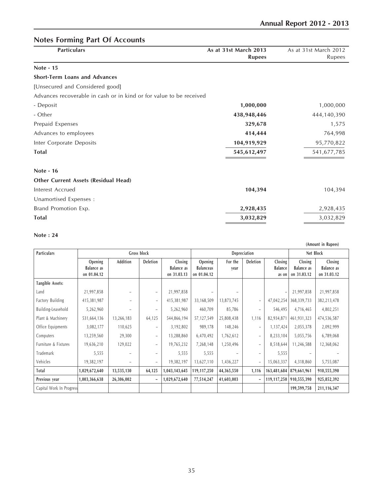| <b>Particulars</b>                                                  | As at 31st March 2013 | As at 31st March 2012 |
|---------------------------------------------------------------------|-----------------------|-----------------------|
|                                                                     | <b>Rupees</b>         | Rupees                |
| <b>Note - 15</b>                                                    |                       |                       |
| <b>Short-Term Loans and Advances</b>                                |                       |                       |
| [Unsecured and Considered good]                                     |                       |                       |
| Advances recoverable in cash or in kind or for value to be received |                       |                       |
| - Deposit                                                           | 1,000,000             | 1,000,000             |
| - Other                                                             | 438,948,446           | 444,140,390           |
| Prepaid Expenses                                                    | 329,678               | 1,575                 |
| Advances to employees                                               | 414,444               | 764,998               |
| Inter Corporate Deposits                                            | 104,919,929           | 95,770,822            |
| <b>Total</b>                                                        | 545,612,497           | 541,677,785           |
| <b>Note - 16</b>                                                    |                       |                       |
| Other Current Assets (Residual Head)                                |                       |                       |
| Interest Accrued                                                    | 104,394               | 104,394               |
| Unamortised Expenses :                                              |                       |                       |
| Brand Promotion Exp.                                                | 2,928,435             | 2,928,435             |
| <b>Total</b>                                                        | 3,032,829             | 3,032,829             |

### Note : 24

|                          | (Amount in Rupees)                          |            |                          |                                             |                                            |                 |                          |                                    |                                             |                                             |
|--------------------------|---------------------------------------------|------------|--------------------------|---------------------------------------------|--------------------------------------------|-----------------|--------------------------|------------------------------------|---------------------------------------------|---------------------------------------------|
| <b>Particulars</b>       | <b>Gross block</b>                          |            |                          |                                             | Depreciation                               |                 |                          |                                    | Net Block                                   |                                             |
|                          | Opening<br><b>Balance</b> as<br>on 01.04.12 | Addition   | Deletion                 | Closing<br><b>Balance</b> as<br>on 31.03.13 | Opening<br><b>Balanceas</b><br>on 01.04.12 | For the<br>vear | <b>Deletion</b>          | Closing<br><b>Balance</b><br>as on | Closing<br><b>Balance</b> as<br>on 31.03.12 | Closing<br><b>Balance</b> as<br>on 31.03.12 |
| Tangible Assets:         |                                             |            |                          |                                             |                                            |                 |                          |                                    |                                             |                                             |
| Land                     | 21,997,858                                  |            | $\overline{\phantom{a}}$ | 21,997,858                                  |                                            |                 |                          |                                    | 21,997,858                                  | 21,997,858                                  |
| Factory Building         | 415,381,987                                 |            | -                        | 415,381,987                                 | 33,168,509                                 | 13,873,745      | $\overline{\phantom{a}}$ | 47,042,254                         | 368,339,733                                 | 382,213,478                                 |
| Building-Leasehold       | 5,262,960                                   |            | $\overline{\phantom{m}}$ | 5,262,960                                   | 460,709                                    | 85,786          | $\overline{\phantom{m}}$ | 546,495                            | 4,716,465                                   | 4,802,251                                   |
| Plant & Machinery        | 531,664,136                                 | 13,266,183 | 64,125                   | 544,866,194                                 | 57,127,549                                 | 25,808,438      | 1,116                    | 82,934,871                         | 461,931,323                                 | 474,536,587                                 |
| Office Equipments        | 3,082,177                                   | 110,625    | $\overline{\phantom{a}}$ | 3,192,802                                   | 989,178                                    | 148,246         | $\overline{\phantom{a}}$ | 1,137,424                          | 2,055,378                                   | 2,092,999                                   |
| Computers                | 13,259,560                                  | 29,300     | $\overline{\phantom{a}}$ | 13,288,860                                  | 6,470,492                                  | 1,762,612       | $\overline{\phantom{a}}$ | 8,233,104                          | 5,055,756                                   | 6,789,068                                   |
| Furniture & Fixtures     | 19,636,210                                  | 129,022    | $\overline{\phantom{a}}$ | 19,765,232                                  | 7,268,148                                  | 1,250,496       | $\overline{\phantom{m}}$ | 8,518,644                          | 11,246,588                                  | 12,368,062                                  |
| Trademark                | 5,555                                       |            | -                        | 5,555                                       | 5,555                                      |                 | -                        | 5,555                              |                                             |                                             |
| Vehicles                 | 19,382,197                                  |            | $\overline{\phantom{a}}$ | 19,382,197                                  | 13,627,110                                 | 1,436,227       | $\overline{\phantom{a}}$ | 15,063,337                         | 4,318,860                                   | 5,755,087                                   |
| Total                    | 1,029,672,640                               | 13,535,130 | 64,125                   | 1,043,143,645                               | 119,117,250                                | 44,365,550      | 1,116                    | 163,481,684                        | 879,661,961                                 | 910,555,390                                 |
| Previous year            | 1,003,366,638                               | 26,306,002 | $\overline{\phantom{a}}$ | 1,029,672,640                               | 77,514,247                                 | 41,603,003      | $\overline{\phantom{a}}$ | 119,117,250                        | 910,555,390                                 | 925,852,392                                 |
| Capital Work In Progress |                                             |            |                          |                                             |                                            |                 |                          |                                    | 199,599,758                                 | 211,116,347                                 |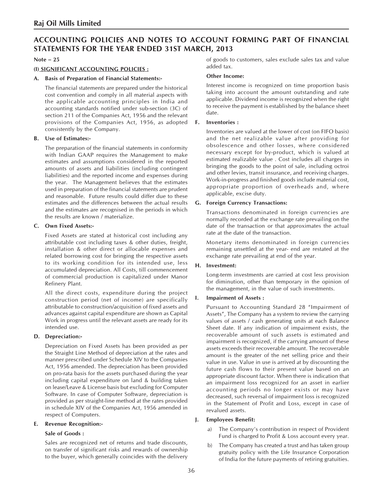# ACCOUNTING POLICIES AND NOTES TO ACCOUNT FORMING PART OF FINANCIAL STATEMENTS FOR THE YEAR ENDED 31ST MARCH, 2013

### Note – 25

### (I) SIGNIFICANT ACCOUNTING POLICIES :

### A. Basis of Preparation of Financial Statements:-

The financial statements are prepared under the historical cost convention and comply in all material aspects with the applicable accounting principles in India and accounting standards notified under sub-section (3C) of section 211 of the Companies Act, 1956 and the relevant provisions of the Companies Act, 1956, as adopted consistently by the Company.

### B. Use of Estimates:-

The preparation of the financial statements in conformity with Indian GAAP requires the Management to make estimates and assumptions considered in the reported amounts of assets and liabilities (including contingent liabilities) and the reported income and expenses during the year. The Management believes that the estimates used in preparation of the financial statements are prudent and reasonable. Future results could differ due to these estimates and the differences between the actual results and the estimates are recognised in the periods in which the results are known / materialize.

### C. Own Fixed Assets:-

Fixed Assets are stated at historical cost including any attributable cost including taxes & other duties, freight, installation & other direct or allocable expenses and related borrowing cost for bringing the respective assets to its working condition for its intended use, less accumulated depreciation. All Costs, till commencement of commercial production is capitalized under Manor Refinery Plant.

All the direct costs, expenditure during the project construction period (net of income) are specifically attributable to construction/acquisition of fixed assets and advances against capital expenditure are shown as Capital Work in progress until the relevant assets are ready for its intended use.

### D. Depreciation:-

Depreciation on Fixed Assets has been provided as per the Straight Line Method of depreciation at the rates and manner prescribed under Schedule XIV to the Companies Act, 1956 amended. The depreciation has been provided on pro-rata basis for the assets purchased during the year including capital expenditure on land & building taken on lease/Leave & License basis but excluding for Computer Software. In case of Computer Software, depreciation is provided as per straight-line method at the rates provided in schedule XIV of the Companies Act, 1956 amended in respect of Computers.

### E. Revenue Recognition:-

### Sale of Goods :

Sales are recognized net of returns and trade discounts, on transfer of significant risks and rewards of ownership to the buyer, which generally coincides with the delivery

of goods to customers, sales exclude sales tax and value added tax.

### Other Income:

Interest income is recognized on time proportion basis taking into account the amount outstanding and rate applicable. Dividend income is recognized when the right to receive the payment is established by the balance sheet date.

### F. Inventories :

Inventories are valued at the lower of cost (on FIFO basis) and the net realizable value after providing for obsolescence and other losses, where considered necessary except for by-product, which is valued at estimated realizable value . Cost includes all charges in bringing the goods to the point of sale, including octroi and other levies, transit insurance, and receiving charges. Work-in-progress and finished goods include material cost, appropriate proportion of overheads and, where applicable, excise duty.

### G. Foreign Currency Transactions:

Transactions denominated in foreign currencies are normally recorded at the exchange rate prevailing on the date of the transaction or that approximates the actual rate at the date of the transaction.

Monetary items denominated in foreign currencies remaining unsettled at the year- end are restated at the exchange rate prevailing at end of the year.

### H. Investment:

Long-term investments are carried at cost less provision for diminution, other than temporary in the opinion of the management, in the value of such investments.

### I. Impairment of Assets :

Pursuant to Accounting Standard 28 "Impairment of Assets", The Company has a system to review the carrying values of assets / cash generating units at each Balance Sheet date. If any indication of impairment exists, the recoverable amount of such assets is estimated and impairment is recognized, if the carrying amount of these assets exceeds their recoverable amount. The recoverable amount is the greater of the net selling price and their value in use. Value in use is arrived at by discounting the future cash flows to their present value based on an appropriate discount factor. When there is indication that an impairment loss recognized for an asset in earlier accounting periods no longer exists or may have decreased, such reversal of impairment loss is recognized in the Statement of Profit and Loss, except in case of revalued assets.

### J. Employees Benefit:

- a) The Company's contribution in respect of Provident Fund is charged to Profit & Loss account every year.
- b) The Company has created a trust and has taken group gratuity policy with the Life Insurance Corporation of India for the future payments of retiring gratuities.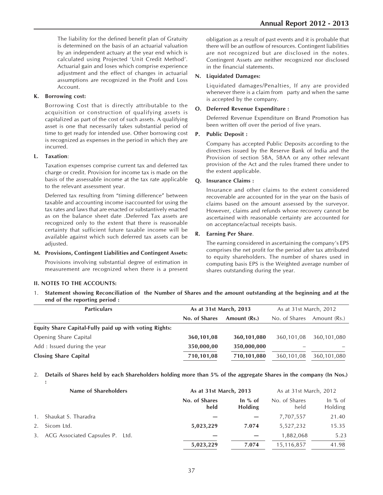The liability for the defined benefit plan of Gratuity is determined on the basis of an actuarial valuation by an independent actuary at the year end which is calculated using Projected 'Unit Credit Method'. Actuarial gain and loses which comprise experience adjustment and the effect of changes in actuarial assumptions are recognized in the Profit and Loss Account.

### K. Borrowing cost:

Borrowing Cost that is directly attributable to the acquisition or construction of qualifying assets is capitalized as part of the cost of such assets. A qualifying asset is one that necessarily takes substantial period of time to get ready for intended use. Other borrowing cost is recognized as expenses in the period in which they are incurred.

### L. Taxation:

Taxation expenses comprise current tax and deferred tax charge or credit. Provision for income tax is made on the basis of the assessable income at the tax rate applicable to the relevant assessment year.

Deferred tax resulting from "timing difference" between taxable and accounting income isaccounted for using the tax rates and laws that are enacted or substantively enacted as on the balance sheet date .Deferred Tax assets are recognized only to the extent that there is reasonable certainty that sufficient future taxable income will be available against which such deferred tax assets can be adjusted.

### M. Provisions, Contingent Liabilities and Contingent Assets:

Provisions involving substantial degree of estimation in measurement are recognized when there is a present obligation as a result of past events and it is probable that there will be an outflow of resources. Contingent liabilities are not recognized but are disclosed in the notes. Contingent Assets are neither recognized nor disclosed in the financial statements.

### N. Liquidated Damages:

Liquidated damages/Penalties, If any are provided whenever there is a claim from party and when the same is accepted by the company.

### O. Deferred Revenue Expenditure :

Deferred Revenue Expenditure on Brand Promotion has been written off over the period of five years.

### P. Public Deposit :

Company has accepted Public Deposits according to the directives issued by the Reserve Bank of India and the Provision of section 58A, 58AA or any other relevant provision of the Act and the rules framed there under to the extent applicable.

### Q. Insurance Claims :

Insurance and other claims to the extent considered recoverable are accounted for in the year on the basis of claims based on the amount assessed by the surveyor. However, claims and refunds whose recovery cannot be ascertained with reasonable certainty are accounted for on acceptance/actual receipts basis.

### R. Earning Per Share.

The earning considered in ascertaining the company's EPS comprises the net profit for the period after tax attributed to equity shareholders. The number of shares used in computing basis EPS is the Weighted average number of shares outstanding during the year.

### II. NOTES TO THE ACCOUNTS:

1. Statement showing Reconciliation of the Number of Shares and the amount outstanding at the beginning and at the end of the reporting period :

| <b>Particulars</b>                                     | As at 31st March, 2013 |              | As at 31st March, 2012 |              |
|--------------------------------------------------------|------------------------|--------------|------------------------|--------------|
|                                                        | No. of Shares          | Amount (Rs.) | No. of Shares          | Amount (Rs.) |
| Equity Share Capital-Fully paid up with voting Rights: |                        |              |                        |              |
| Opening Share Capital                                  | 360,101,08             | 360,101,080  | 360,101,08             | 360,101,080  |
| Add: Issued during the year                            | 350,000,00             | 350,000,000  |                        |              |
| <b>Closing Share Capital</b>                           | 710,101,08             | 710,101,080  | 360,101,08             | 360,101,080  |

2. Details of Shares held by each Shareholders holding more than 5% of the aggregate Shares in the company (In Nos.)

:

| Name of Shareholders |                                    | As at 31st March, 2013 | As at 31st March, 2012      |                       |                             |
|----------------------|------------------------------------|------------------------|-----------------------------|-----------------------|-----------------------------|
|                      |                                    | No. of Shares<br>held  | In $%$ of<br><b>Holding</b> | No. of Shares<br>held | In $%$ of<br><b>Holding</b> |
| 1.                   | Shaukat S. Tharadra                |                        |                             | 7,707,557             | 21.40                       |
| 2.                   | Sicom Ltd.                         | 5,023,229              | 7.074                       | 5.527.232             | 15.35                       |
|                      | 3. ACG Associated Capsules P. Ltd. |                        |                             | 1,882,068             | 5.23                        |
|                      |                                    | 5,023,229              | 7.074                       | 15,116,857            | 41.98                       |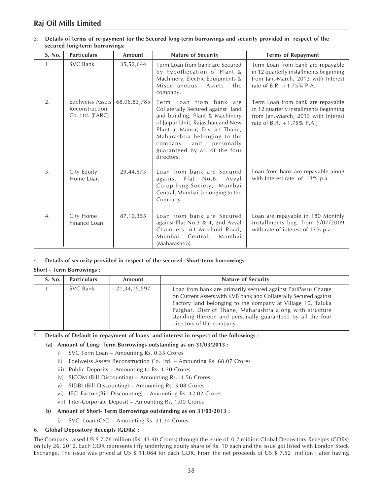# Raj Oil Mills Limited

| S. No. | <b>Particulars</b>                                    | Amount       | Nature of Security                                                                                                                                                                                                                                                                     | <b>Terms of Repayment</b>                                                                                                                          |
|--------|-------------------------------------------------------|--------------|----------------------------------------------------------------------------------------------------------------------------------------------------------------------------------------------------------------------------------------------------------------------------------------|----------------------------------------------------------------------------------------------------------------------------------------------------|
| 1.     | SVC Bank                                              | 35,52,644    | Term Loan from bank are Secured<br>by hypothecation of Plant &<br>Machinery, Electric Equipments &<br>Miscellaneous<br>Assets<br>the<br>company.                                                                                                                                       | Term Loan from bank are repayable<br>in 12 quarterly installments beginning<br>from Jan.-March, 2013 with Interest<br>rate of B.R. $+1.75\%$ P.A.  |
| 2.     | Edelweiss Assets<br>Reconstruction<br>Co. Ltd. (EARC) | 68,06,83,785 | Term Loan from bank are<br>Collaterally Secured against land<br>and building, Plant & Machinery<br>of Jaipur Unit, Rajasthan and New<br>Plant at Manor, District Thane,<br>Maharashtra belonging to the<br>and<br>personally<br>company<br>guaranteed by all of the four<br>directors. | Term Loan from bank are repayable<br>in 12 quarterly installments beginning<br>from Jan.-March, 2013 with Interest<br>rate of B.R. $+1.75\%$ P.A.] |
| 3.     | City Equity<br>Home Loan                              | 29,44,573    | Loan from bank are Secured<br>against Flat No.6, Avval<br>Co.op.hsng.Society, Mumbai<br>Central, Mumbai, belonging to the<br>Company.                                                                                                                                                  | Loan from bank are repayable along<br>with Interest rate of 13% p.a.                                                                               |
| 4.     | City Home<br>Finance Loan                             | 87,10,355    | Loan from bank are Secured<br>against Flat No.3 & 4, 2nd Avval<br>Chambers, 61 Morland Road,<br>Mumbai Central,<br>Mumbai<br>(Maharashtra).                                                                                                                                            | Loan are repayable in 180 Monthly<br>installments beg. from 5/07/2009<br>with rate of interest of 13% p.a.                                         |

3. Details of terms of re-payment for the Secured long-term borrowings and security provided in respect of the secured long-term borrowings:

### 4 Details of security provided in respect of the secured Short-term borrowings:

### Short - Term Borrowings :

| S. No. | <b>Particulars</b> | Amount          | <b>Nature of Security</b>                                                                                                                                                                                                                                                                                                                                |
|--------|--------------------|-----------------|----------------------------------------------------------------------------------------------------------------------------------------------------------------------------------------------------------------------------------------------------------------------------------------------------------------------------------------------------------|
|        | SVC Bank           | 21, 34, 15, 597 | Loan from bank are primarily secured against PariPassu Charge<br>on Current Assets with KVB bank and Collaterally Secured against<br>Factory land belonging to the company at Village 10, Taluka<br>Palghar, District Thane, Maharashtra along with structure<br>standing thereon and personally guaranteed by all the four<br>directors of the company. |

### 5. Details of Default in repayment of loans and interest in respect of the followings :

### (a) Amount of Long- Term Borrowings outstanding as on 31/03/2013 :

- i) SVC Term Loan Amounting Rs. 0.35 Crores
- ii) Edelweiss Assets Reconstruction Co. Ltd. Amounting Rs. 68.07 Crores
- iii) Public Deposits Amounting to Rs. 1.30 Crores
- iv) SICOM (Bill Discounting) Amounting Rs.11.56 Crores
- v) SIDBI (Bill Discounting) Amounting Rs. 3.08 Crores
- vi) IFCI Factors(Bill Discounting) Amounting Rs. 12.02 Crores
- vii) Inter-Corporate Deposit Amounting Rs. 1.00 Crores

### b) Amount of Short- Term Borrowings outstanding as on 31/03/2013 :

i) SVC Loan (C/C) – Amounting Rs. 21.34 Crores

### 6. Global Depository Receipts (GDRs) :

The Company raised US \$ 7.76 million (Rs. 43.40 Crores) through the issue of 0.7 million Global Depository Receipts (GDRs) on July 26, 2012. Each GDR represents fifty underlying equity share of Rs. 10 each and the issue got listed with London Stock Exchange. The issue was priced at US \$ 11.084 for each GDR. From the net proceeds of US \$ 7.52 million ( after having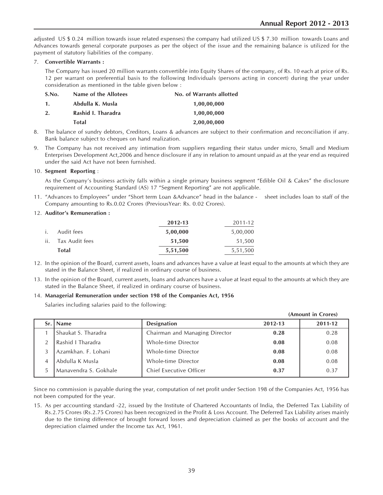adjusted US \$ 0.24 million towards issue related expenses) the company had utilized US \$ 7.30 million towards Loans and Advances towards general corporate purposes as per the object of the issue and the remaining balance is utilized for the payment of statutory liabilities of the company.

### 7. Convertible Warrants :

The Company has issued 20 million warrants convertible into Equity Shares of the company, of Rs. 10 each at price of Rs. 12 per warrant on preferential basis to the following Individuals (persons acting in concert) during the year under consideration as mentioned in the table given below :

| S.No. | Name of the Allotees | No. of Warrants allotted |
|-------|----------------------|--------------------------|
| 1.    | Abdulla K. Musla     | 1,00,00,000              |
| 2.    | Rashid I. Tharadra   | 1,00,00,000              |
|       | <b>Total</b>         | 2,00,00,000              |

- 8. The balance of sundry debtors, Creditors, Loans & advances are subject to their confirmation and reconciliation if any. Bank balance subject to cheques on hand realization.
- 9. The Company has not received any intimation from suppliers regarding their status under micro, Small and Medium Enterprises Development Act,2006 and hence disclosure if any in relation to amount unpaid as at the year end as required under the said Act have not been furnished.

### 10. Segment Reporting :

As the Company's business activity falls within a single primary business segment "Edible Oil & Cakes" the disclosure requirement of Accounting Standard (AS) 17 "Segment Reporting" are not applicable.

11. "Advances to Employees" under "Short term Loan &Advance" head in the balance - sheet includes loan to staff of the Company amounting to Rs.0.02 Crores (PreviousYear: Rs. 0.02 Crores).

### 12. Auditor's Remuneration :

|     |                | 2012-13  | 2011-12  |
|-----|----------------|----------|----------|
| i.  | Audit fees     | 5,00,000 | 5,00,000 |
| ii. | Tax Audit fees | 51,500   | 51,500   |
|     | <b>Total</b>   | 5,51,500 | 5,51,500 |

- 12. In the opinion of the Board, current assets, loans and advances have a value at least equal to the amounts at which they are stated in the Balance Sheet, if realized in ordinary course of business.
- 13. In the opinion of the Board, current assets, loans and advances have a value at least equal to the amounts at which they are stated in the Balance Sheet, if realized in ordinary course of business.

### 14. Managerial Remuneration under section 198 of the Companies Act, 1956

Salaries including salaries paid to the following:

|                       |                                |         | (Amount in Crores) |
|-----------------------|--------------------------------|---------|--------------------|
| Sr.   Name            | <b>Designation</b>             | 2012-13 | 2011-12            |
| Shaukat S. Tharadra   | Chairman and Managing Director | 0.28    | 0.28               |
| Rashid I Tharadra     | Whole-time Director            | 0.08    | 0.08               |
| Azamkhan, F. Lohani   | Whole-time Director            | 0.08    | 0.08               |
| Abdulla K Musla       | Whole-time Director            | 0.08    | 0.08               |
| Manavendra S. Gokhale | Chief Executive Officer        | 0.37    | 0.37               |
|                       |                                |         |                    |

Since no commission is payable during the year, computation of net profit under Section 198 of the Companies Act, 1956 has not been computed for the year.

15. As per accounting standard -22, issued by the Institute of Chartered Accountants of India, the Deferred Tax Liability of Rs.2.75 Crores (Rs.2.75 Crores) has been recognized in the Profit & Loss Account. The Deferred Tax Liability arises mainly due to the timing difference of brought forward losses and depreciation claimed as per the books of account and the depreciation claimed under the Income tax Act, 1961.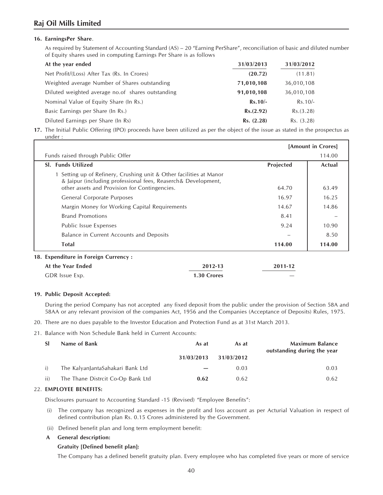# Raj Oil Mills Limited

### 16. EarningsPer Share.

As required by Statement of Accounting Standard (AS) – 20 "Earning PerShare", reconciliation of basic and diluted number of Equity shares used in computing Earnings Per Share is as follows

| At the year ended                                 | 31/03/2013 | 31/03/2012 |
|---------------------------------------------------|------------|------------|
| Net Profit/(Loss) After Tax (Rs. In Crores)       | (20.72)    | (11.81)    |
| Weighted average Number of Shares outstanding     | 71,010,108 | 36,010,108 |
| Diluted weighted average no.of shares outstanding | 91,010,108 | 36,010,108 |
| Nominal Value of Equity Share (In Rs.)            | $Rs.10/-$  | $Rs.10/-$  |
| Basic Earnings per Share (In Rs.)                 | Rs.(2.92)  | Rs.(3.28)  |
| Diluted Earnings per Share (In Rs)                | Rs. (2.28) | Rs. (3.28) |

17. The Initial Public Offering (IPO) proceeds have been utilized as per the object of the issue as stated in the prospectus as under :

|                                                                                                                                                                                      |           | [Amount in Crores] |
|--------------------------------------------------------------------------------------------------------------------------------------------------------------------------------------|-----------|--------------------|
| Funds raised through Public Offer                                                                                                                                                    |           | 114.00             |
| <b>Funds Utilized</b><br>SI.                                                                                                                                                         | Projected | Actual             |
| Setting up of Refinery, Crushing unit & Other facilities at Manor<br>& Jaipur (including professional fees, Reaserch & Development,<br>other assets and Provision for Contingencies. | 64.70     | 63.49              |
| <b>General Corporate Purposes</b>                                                                                                                                                    | 16.97     | 16.25              |
| Margin Money for Working Capital Requirements                                                                                                                                        | 14.67     | 14.86              |
| <b>Brand Promotions</b>                                                                                                                                                              | 8.41      |                    |
| <b>Public Issue Expenses</b>                                                                                                                                                         | 9.24      | 10.90              |
| Balance in Current Accounts and Deposits                                                                                                                                             |           | 8.50               |
| <b>Total</b>                                                                                                                                                                         | 114.00    | 114.00             |
| 18. Expenditure in Foreign Currency:<br>A total $\sim$ M $\sim$ $\sim$ F $\sim$ d $\sim$ d<br>$0.010 \pm 0.00$                                                                       | 0.044.40  |                    |

| At the Year Ended | 2012-13            | 2011-12 |
|-------------------|--------------------|---------|
| GDR Issue Exp.    | <b>1.30 Crores</b> |         |

### 19. Public Deposit Accepted:

During the period Company has not accepted any fixed deposit from the public under the provision of Section 58A and 58AA or any relevant provision of the companies Act, 1956 and the Companies (Acceptance of Deposits) Rules, 1975.

- 20. There are no dues payable to the Investor Education and Protection Fund as at 31st March 2013.
- 21. Balance with Non Schedule Bank held in Current Accounts:

| -SI          | Name of Bank                      | As at<br>As at           |            | <b>Maximum Balance</b><br>outstanding during the year |
|--------------|-----------------------------------|--------------------------|------------|-------------------------------------------------------|
|              |                                   | 31/03/2013               | 31/03/2012 |                                                       |
| $\mathbf{i}$ | The KalyanJantaSahakari Bank Ltd  | $\overline{\phantom{m}}$ | 0.03       | 0.03                                                  |
| ii)          | The Thane Distrcit Co-Op Bank Ltd | 0.62                     | 0.62       | 0.62                                                  |

### 22. EMPLOYEE BENEFITS:

Disclosures pursuant to Accounting Standard -15 (Revised) "Employee Benefits":

- (i) The company has recognized as expenses in the profit and loss account as per Acturial Valuation in respect of defined contribution plan Rs. 0.15 Crores administered by the Government.
- (ii) Defined benefit plan and long term employment benefit:

### A General description:

### Gratuity [Defined benefit plan]:

The Company has a defined benefit gratuity plan. Every employee who has completed five years or more of service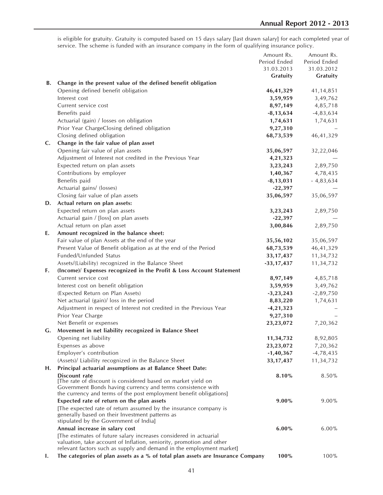is eligible for gratuity. Gratuity is computed based on 15 days salary [last drawn salary] for each completed year of service. The scheme is funded with an insurance company in the form of qualifying insurance policy.

|    |                                                                                                                     | Amount Rs.     | Amount Rs.   |
|----|---------------------------------------------------------------------------------------------------------------------|----------------|--------------|
|    |                                                                                                                     | Period Ended   | Period Ended |
|    |                                                                                                                     | 31.03.2013     | 31.03.2012   |
|    |                                                                                                                     | Gratuity       | Gratuity     |
| В. | Change in the present value of the defined benefit obligation                                                       |                |              |
|    | Opening defined benefit obligation                                                                                  | 46,41,329      | 41, 14, 851  |
|    | Interest cost                                                                                                       | 3,59,959       | 3,49,762     |
|    | Current service cost                                                                                                | 8,97,149       | 4,85,718     |
|    | Benefits paid                                                                                                       | $-8, 13, 634$  | $-4,83,634$  |
|    | Actuarial (gain) / losses on obligation                                                                             | 1,74,631       | 1,74,631     |
|    | Prior Year ChargeClosing defined obligation                                                                         | 9,27,310       |              |
|    | Closing defined obligation                                                                                          | 68,73,539      | 46,41,329    |
| C. | Change in the fair value of plan asset                                                                              |                |              |
|    | Opening fair value of plan assets                                                                                   | 35,06,597      | 32,22,046    |
|    | Adjustment of Interest not credited in the Previous Year                                                            | 4,21,323       |              |
|    | Expected return on plan assets                                                                                      | 3,23,243       | 2,89,750     |
|    | Contributions by employer                                                                                           | 1,40,367       | 4,78,435     |
|    | Benefits paid                                                                                                       | $-8, 13, 031$  | $-4,83,634$  |
|    | Actuarial gains/ (losses)                                                                                           | $-22,397$      |              |
|    | Closing fair value of plan assets                                                                                   | 35,06,597      | 35,06,597    |
| D. | Actual return on plan assets:                                                                                       |                |              |
|    | Expected return on plan assets                                                                                      | 3,23,243       | 2,89,750     |
|    | Actuarial gain / [loss] on plan assets                                                                              | $-22,397$      |              |
|    | Actual return on plan asset                                                                                         | 3,00,846       | 2,89,750     |
| E. | Amount recognized in the balance sheet:                                                                             |                |              |
|    | Fair value of plan Assets at the end of the year                                                                    | 35,56,102      | 35,06,597    |
|    |                                                                                                                     |                |              |
|    | Present Value of Benefit obligation as at the end of the Period                                                     | 68,73,539      | 46,41,329    |
|    | Funded/Unfunded Status                                                                                              | 33, 17, 437    | 11,34,732    |
|    | Assets/(Liability) recognized in the Balance Sheet                                                                  | $-33, 17, 437$ | 11,34,732    |
| F. | (Income)/ Expenses recognized in the Profit & Loss Account Statement                                                |                |              |
|    | Current service cost                                                                                                | 8,97,149       | 4,85,718     |
|    | Interest cost on benefit obligation                                                                                 | 3,59,959       | 3,49,762     |
|    | (Expected Return on Plan Assets)                                                                                    | $-3,23,243$    | $-2,89,750$  |
|    | Net actuarial (gain)/ loss in the period                                                                            | 8,83,220       | 1,74,631     |
|    | Adjustment in respect of Interest not credited in the Previous Year                                                 | $-4,21,323$    |              |
|    | Prior Year Charge                                                                                                   | 9,27,310       |              |
|    | Net Benefit or expenses                                                                                             | 23, 23, 072    | 7,20,362     |
| G. | Movement in net liability recognized in Balance Sheet                                                               |                |              |
|    | Opening net liability                                                                                               | 11,34,732      | 8,92,805     |
|    | Expenses as above                                                                                                   | 23, 23, 072    | 7,20,362     |
|    | Employer's contribution                                                                                             | $-1,40,367$    | $-4,78,435$  |
|    | (Assets)/ Liability recognized in the Balance Sheet                                                                 | 33, 17, 437    | 11,34,732    |
| Н. | Principal actuarial assumptions as at Balance Sheet Date:                                                           |                |              |
|    | Discount rate                                                                                                       | 8.10%          | 8.50%        |
|    | [The rate of discount is considered based on market yield on                                                        |                |              |
|    | Government Bonds having currency and terms consistence with                                                         |                |              |
|    | the currency and terms of the post employment benefit obligations]                                                  |                |              |
|    | Expected rate of return on the plan assets                                                                          | $9.00\%$       | $9.00\%$     |
|    | [The expected rate of return assumed by the insurance company is<br>generally based on their Investment patterns as |                |              |
|    | stipulated by the Government of India]                                                                              |                |              |
|    | Annual increase in salary cost                                                                                      | $6.00\%$       | $6.00\%$     |
|    | [The estimates of future salary increases considered in actuarial                                                   |                |              |
|    | valuation, take account of Inflation, seniority, promotion and other                                                |                |              |
|    | relevant factors such as supply and demand in the employment market]                                                |                |              |
|    | The categories of plan assets as $2\%$ of total plan assets are insurance Company                                   | 1000           | 1000         |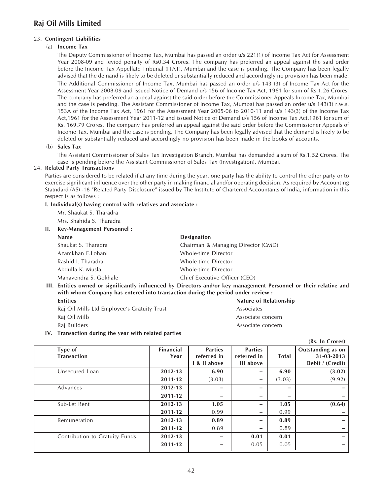### 23. Contingent Liabilities

### (a) Income Tax

The Deputy Commissioner of Income Tax, Mumbai has passed an order u/s 221(1) of Income Tax Act for Assessment Year 2008-09 and levied penalty of Rs0.34 Crores. The company has preferred an appeal against the said order before the Income Tax Appellate Tribunal (ITAT), Mumbai and the case is pending. The Company has been legally advised that the demand is likely to be deleted or substantially reduced and accordingly no provision has been made. The Additional Commissioner of Income Tax, Mumbai has passed an order u/s 143 (3) of Income Tax Act for the Assessment Year 2008-09 and issued Notice of Demand u/s 156 of Income Tax Act, 1961 for sum of Rs.1.26 Crores. The company has preferred an appeal against the said order before the Commissioner Appeals Income Tax, Mumbai and the case is pending. The Assistant Commissioner of Income Tax, Mumbai has passed an order u/s 143(3) r.w.s. 153A of the Income Tax Act, 1961 for the Assessment Year 2005-06 to 2010-11 and u/s 143(3) of the Income Tax Act,1961 for the Assessment Year 2011-12 and issued Notice of Demand u/s 156 of Income Tax Act,1961 for sum of Rs. 169.79 Crores. The company has preferred an appeal against the said order before the Commissioner Appeals of Income Tax, Mumbai and the case is pending. The Company has been legally advised that the demand is likely to be deleted or substantially reduced and accordingly no provision has been made in the books of accounts.

#### (b) Sales Tax

The Assistant Commissioner of Sales Tax Investigation Branch, Mumbai has demanded a sum of Rs.1.52 Crores. The case is pending before the Assistant Commissioner of Sales Tax (Investigation), Mumbai.

#### 24. Related Party Transactions

Parties are considered to be related if at any time during the year, one party has the ability to control the other party or to exercise significant influence over the other party in making financial and/or operating decision. As required by Accounting Statndard (AS) -18 "Related Party Disclosure" issued by The Institute of Chartered Accountants of India, information in this respect is as follows :

### I. Individual(s) having control with relatives and associate :

Mr. Shaukat S. Tharadra

Mrs. Shahida S. Tharadra

#### II. Key-Management Personnel :

| <b>Name</b>           | <b>Designation</b>                 |
|-----------------------|------------------------------------|
| Shaukat S. Tharadra   | Chairman & Managing Director (CMD) |
| Azamkhan F.Lohani     | Whole-time Director                |
| Rashid I. Tharadra    | Whole-time Director                |
| Abdulla K. Musla      | Whole-time Director                |
| Manavendra S. Gokhale | Chief Executive Officer (CEO)      |

III. Entities owned or significantly influenced by Directors and/or key management Personnel or their relative and with whom Company has entered into transaction during the period under review :<br> $F_{\text{L}}(t) = \frac{F_{\text{L}}(t)}{F_{\text{L}}(t)}$ 

| <b>Entities</b>                             | Nature of Relationship |  |  |
|---------------------------------------------|------------------------|--|--|
| Raj Oil Mills Ltd Employee's Gratuity Trust | Associates             |  |  |
| Raj Oil Mills                               | Associate concern      |  |  |
| Rai Builders                                | Associate concern      |  |  |

#### IV. Transaction during the year with related parties

(Rs. In Crores)

| Type of                        | <b>Financial</b> | <b>Parties</b> | <b>Parties</b> |              | Outstanding as on |
|--------------------------------|------------------|----------------|----------------|--------------|-------------------|
| <b>Transaction</b>             | Year             | referred in    | referred in    | <b>Total</b> | 31-03-2013        |
|                                |                  | 1 & II above   | III above      |              | Debit / (Credit)  |
| Unsecured Loan                 | 2012-13          | 6.90           | -              | 6.90         | (3.02)            |
|                                | 2011-12          | (3.03)         | -              | (3.03)       | (9.92)            |
| Advances                       | 2012-13          |                | -              |              |                   |
|                                | 2011-12          |                | -              | -            |                   |
| Sub-Let Rent                   | 2012-13          | 1.05           | -              | 1.05         | (0.64)            |
|                                | 2011-12          | 0.99           | -              | 0.99         |                   |
| Remuneration                   | 2012-13          | 0.89           | -              | 0.89         |                   |
|                                | 2011-12          | 0.89           | -              | 0.89         |                   |
| Contribution to Gratuity Funds | 2012-13          |                | 0.01           | 0.01         |                   |
|                                | 2011-12          |                | 0.05           | 0.05         |                   |
|                                |                  |                |                |              |                   |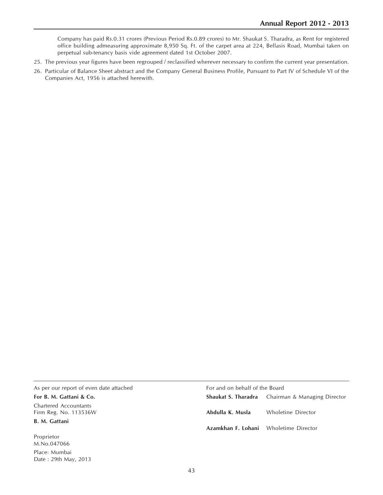Company has paid Rs.0.31 crores (Previous Period Rs.0.89 crores) to Mr. Shaukat S. Tharadra, as Rent for registered office building admeasuring approximate 8,950 Sq. Ft. of the carpet area at 224, Bellasis Road, Mumbai taken on perpetual sub-tenancy basis vide agreement dated 1st October 2007.

- 25. The previous year figures have been regrouped / reclassified wherever necessary to confirm the current year presentation.
- 26. Particular of Balance Sheet abstract and the Company General Business Profile, Pursuant to Part IV of Schedule VI of the Companies Act, 1956 is attached herewith.

As per our report of even date attached

For B. M. Gattani & Co. Chartered Accountants Firm Reg. No.  $113536W$ 

### B. M. Gattani

Proprietor M.No.047066 Place: Mumbai Date : 29th May, 2013

| For and on behalf of the Board               |                                                         |  |
|----------------------------------------------|---------------------------------------------------------|--|
|                                              | <b>Shaukat S. Tharadra</b> Chairman & Managing Director |  |
|                                              |                                                         |  |
| <b>Abdulla K. Musla</b> Mboletine Director   |                                                         |  |
|                                              |                                                         |  |
| <b>Azamkhan F. Lohani</b> Wholetime Director |                                                         |  |
|                                              |                                                         |  |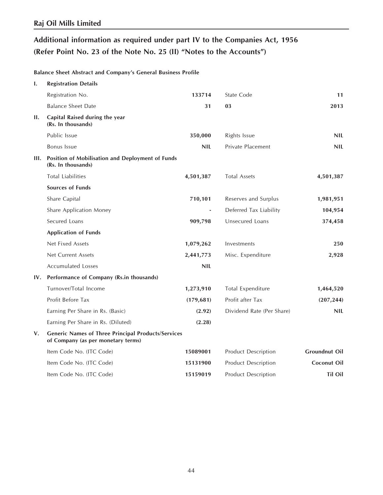# Additional information as required under part IV to the Companies Act, 1956 (Refer Point No. 23 of the Note No. 25 (II) "Notes to the Accounts")

Balance Sheet Abstract and Company's General Business Profile

| Ι.  | <b>Registration Details</b>                                                                     |            |                            |                      |
|-----|-------------------------------------------------------------------------------------------------|------------|----------------------------|----------------------|
|     | Registration No.                                                                                | 133714     | State Code                 | 11                   |
|     | <b>Balance Sheet Date</b>                                                                       | 31         | 03                         | 2013                 |
| н.  | Capital Raised during the year<br>(Rs. In thousands)                                            |            |                            |                      |
|     | Public Issue                                                                                    | 350,000    | Rights Issue               | <b>NIL</b>           |
|     | <b>Bonus</b> Issue                                                                              | <b>NIL</b> | Private Placement          | <b>NIL</b>           |
|     | III. Position of Mobilisation and Deployment of Funds<br>(Rs. In thousands)                     |            |                            |                      |
|     | <b>Total Liabilities</b>                                                                        | 4,501,387  | <b>Total Assets</b>        | 4,501,387            |
|     | <b>Sources of Funds</b>                                                                         |            |                            |                      |
|     | Share Capital                                                                                   | 710,101    | Reserves and Surplus       | 1,981,951            |
|     | <b>Share Application Money</b>                                                                  | L,         | Deferred Tax Liability     | 104,954              |
|     | Secured Loans                                                                                   | 909,798    | Unsecured Loans            | 374,458              |
|     | <b>Application of Funds</b>                                                                     |            |                            |                      |
|     | Net Fixed Assets                                                                                | 1,079,262  | Investments                | 250                  |
|     | <b>Net Current Assets</b>                                                                       | 2,441,773  | Misc. Expenditure          | 2,928                |
|     | <b>Accumulated Losses</b>                                                                       | <b>NIL</b> |                            |                      |
| IV. | Performance of Company (Rs.in thousands)                                                        |            |                            |                      |
|     | Turnover/Total Income                                                                           | 1,273,910  | Total Expenditure          | 1,464,520            |
|     | Profit Before Tax                                                                               | (179, 681) | Profit after Tax           | (207, 244)           |
|     | Earning Per Share in Rs. (Basic)                                                                | (2.92)     | Dividend Rate (Per Share)  | <b>NIL</b>           |
|     | Earning Per Share in Rs. (Diluted)                                                              | (2.28)     |                            |                      |
| V.  | <b>Generic Names of Three Principal Products/Services</b><br>of Company (as per monetary terms) |            |                            |                      |
|     | Item Code No. (ITC Code)                                                                        | 15089001   | <b>Product Description</b> | <b>Groundnut Oil</b> |
|     | Item Code No. (ITC Code)                                                                        | 15131900   | <b>Product Description</b> | Coconut Oil          |
|     | Item Code No. (ITC Code)                                                                        | 15159019   | <b>Product Description</b> | <b>Til Oil</b>       |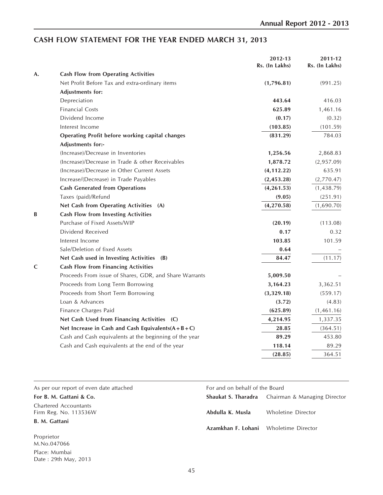# CASH FLOW STATEMENT FOR THE YEAR ENDED MARCH 31, 2013

|    |                                                         | 2012-13<br>Rs. (In Lakhs) | 2011-12<br>Rs. (In Lakhs) |
|----|---------------------------------------------------------|---------------------------|---------------------------|
| A. | <b>Cash Flow from Operating Activities</b>              |                           |                           |
|    | Net Profit Before Tax and extra-ordinary items          | (1,796.81)                | (991.25)                  |
|    | Adjustments for:                                        |                           |                           |
|    | Depreciation                                            | 443.64                    | 416.03                    |
|    | <b>Financial Costs</b>                                  | 625.89                    | 1,461.16                  |
|    | Dividend Income                                         | (0.17)                    | (0.32)                    |
|    | Interest Income                                         | (103.85)                  | (101.59)                  |
|    | Operating Profit before working capital changes         | (831.29)                  | 784.03                    |
|    | Adjustments for:-                                       |                           |                           |
|    | (Increase)/Decrease in Inventories                      | 1,256.56                  | 2,868.83                  |
|    | (Increase)/Decrease in Trade & other Receivables        | 1,878.72                  | (2,957.09)                |
|    | (Increase)/Decrease in Other Current Assets             | (4, 112.22)               | 635.91                    |
|    | Increase/(Decrease) in Trade Payables                   | (2, 453.28)               | (2,770.47)                |
|    | <b>Cash Generated from Operations</b>                   | (4, 261.53)               | (1,438.79)                |
|    | Taxes (paid)/Refund                                     | (9.05)                    | (251.91)                  |
|    | Net Cash from Operating Activities (A)                  | (4, 270.58)               | (1,690.70)                |
| B  | <b>Cash Flow from Investing Activities</b>              |                           |                           |
|    | Purchase of Fixed Assets/WIP                            | (20.19)                   | (113.08)                  |
|    | Dividend Received                                       | 0.17                      | 0.32                      |
|    | Interest Income                                         | 103.85                    | 101.59                    |
|    | Sale/Deletion of fixed Assets                           | 0.64                      |                           |
|    | Net Cash used in Investing Activities<br>(B)            | 84.47                     | (11.17)                   |
| C  | <b>Cash Flow from Financing Activities</b>              |                           |                           |
|    | Proceeds From issue of Shares, GDR, and Share Warrants  | 5,009.50                  |                           |
|    | Proceeds from Long Term Borrowing                       | 3,164.23                  | 3,362.51                  |
|    | Proceeds from Short Term Borrowing                      | (3,329.18)                | (559.17)                  |
|    | Loan & Advances                                         | (3.72)                    | (4.83)                    |
|    | Finance Charges Paid                                    | (625.89)                  | (1,461.16)                |
|    | Net Cash Used from Financing Activities (C)             | 4,214.95                  | 1,337.35                  |
|    | Net Increase in Cash and Cash Equivalents $(A + B + C)$ | 28.85                     | (364.51)                  |
|    | Cash and Cash equivalents at the beginning of the year  | 89.29                     | 453.80                    |
|    | Cash and Cash equivalents at the end of the year        | 118.14                    | 89.29                     |
|    |                                                         | (28.85)                   | 364.51                    |

| As per our report of even date attached        | For and on behalf of the Board               |                                                         |
|------------------------------------------------|----------------------------------------------|---------------------------------------------------------|
| For B. M. Gattani & Co.                        |                                              | <b>Shaukat S. Tharadra</b> Chairman & Managing Director |
| Chartered Accountants<br>Firm Reg. No. 113536W | Abdulla K. Musla                             | Wholetine Director                                      |
| <b>B. M. Gattani</b>                           | <b>Azamkhan F. Lohani</b> Wholetime Director |                                                         |
| Proprietor<br>M.No.047066                      |                                              |                                                         |

45

Place: Mumbai Date : 29th May, 2013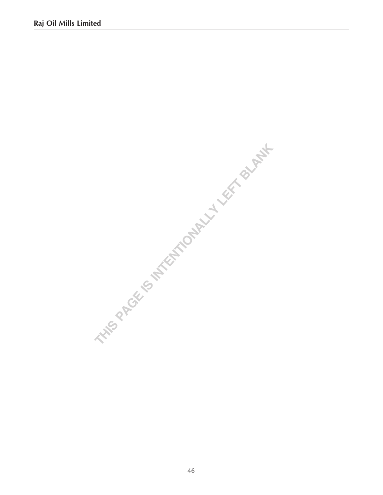**THIS PAGE IS INTERNATIONALLY LEFT BLACK**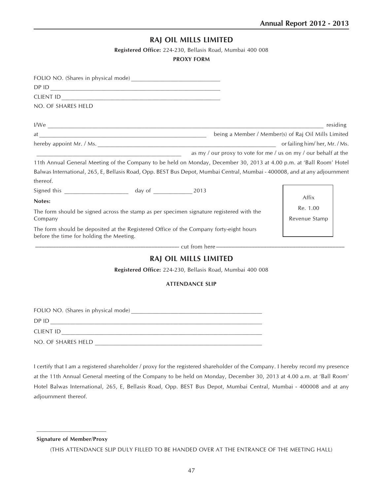### RAJ OIL MILLS LIMITED

Registered Office: 224-230, Bellasis Road, Mumbai 400 008

#### PROXY FORM

| $DP$ ID                                                                                                                            |                                                                 |               |          |
|------------------------------------------------------------------------------------------------------------------------------------|-----------------------------------------------------------------|---------------|----------|
|                                                                                                                                    |                                                                 |               |          |
| NO. OF SHARES HELD                                                                                                                 |                                                                 |               |          |
|                                                                                                                                    |                                                                 |               | residing |
|                                                                                                                                    | being a Member / Member(s) of Raj Oil Mills Limited             |               |          |
|                                                                                                                                    |                                                                 |               |          |
|                                                                                                                                    | as my / our proxy to vote for me / us on my / our behalf at the |               |          |
| 11th Annual General Meeting of the Company to be held on Monday, December 30, 2013 at 4.00 p.m. at 'Ball Room' Hotel               |                                                                 |               |          |
| Balwas International, 265, E, Bellasis Road, Opp. BEST Bus Depot, Mumbai Central, Mumbai - 400008, and at any adjournment          |                                                                 |               |          |
| thereof.                                                                                                                           |                                                                 |               |          |
|                                                                                                                                    |                                                                 |               |          |
| Notes:                                                                                                                             |                                                                 | Affix         |          |
| The form should be signed across the stamp as per specimen signature registered with the                                           |                                                                 | Re. 1.00      |          |
| Company                                                                                                                            |                                                                 | Revenue Stamp |          |
| The form should be deposited at the Registered Office of the Company forty-eight hours<br>before the time for holding the Meeting. |                                                                 |               |          |
|                                                                                                                                    |                                                                 |               |          |

### RAJ OIL MILLS LIMITED

Registered Office: 224-230, Bellasis Road, Mumbai 400 008

### ATTENDANCE SLIP

| FOLIO NO. (Shares in physical mode) |
|-------------------------------------|
| DP ID                               |
| CLIENT ID                           |
| NO. OF SHARES HELD                  |

I certify that I am a registered shareholder / proxy for the registered shareholder of the Company. I hereby record my presence at the 11th Annual General meeting of the Company to be held on Monday, December 30, 2013 at 4.00 a.m. at 'Ball Room' Hotel Balwas International, 265, E, Bellasis Road, Opp. BEST Bus Depot, Mumbai Central, Mumbai - 400008 and at any adjournment thereof.

### $\mathcal{L}_\text{max}$  and  $\mathcal{L}_\text{max}$  and  $\mathcal{L}_\text{max}$ Signature of Member/Proxy

(THIS ATTENDANCE SLIP DULY FILLED TO BE HANDED OVER AT THE ENTRANCE OF THE MEETING HALL)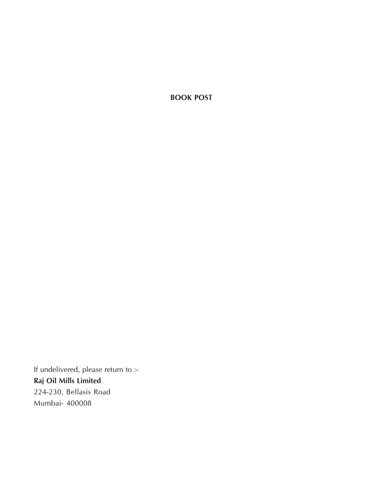BOOK POST

If undelivered, please return to :- Raj Oil Mills Limited 224-230, Bellasis Road Mumbai- 400008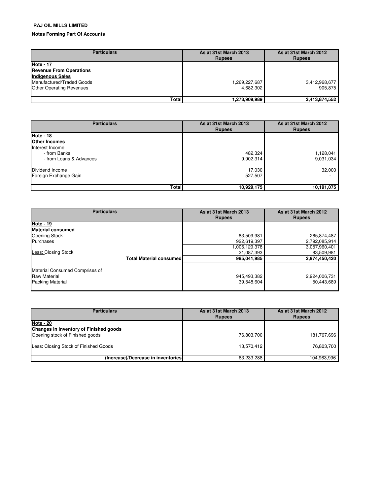### **RAJ OIL MILLS LIMITED**

### **Notes Forming Part Of Accounts**

| <b>Particulars</b>                                                                                                                     | As at 31st March 2013<br><b>Rupees</b> | As at 31st March 2012<br><b>Rupees</b> |
|----------------------------------------------------------------------------------------------------------------------------------------|----------------------------------------|----------------------------------------|
| Note - 17<br><b>Revenue From Operations</b><br><b>Indigenous Sales</b><br>Manufactured/Traded Goods<br><b>Other Operating Revenues</b> | 1,269,227,687<br>4.682.302             | 3,412,968,677<br>905.875               |
| Total                                                                                                                                  | 1,273,909,989                          | 3,413,874,552                          |

| <b>Particulars</b>      | As at 31st March 2013<br><b>Rupees</b> | As at 31st March 2012<br><b>Rupees</b> |
|-------------------------|----------------------------------------|----------------------------------------|
| <b>Note - 18</b>        |                                        |                                        |
| <b>Other Incomes</b>    |                                        |                                        |
| Interest Income         |                                        |                                        |
| - from Banks            | 482,324                                | 1,128,041                              |
| - from Loans & Advances | 9,902,314                              | 9,031,034                              |
| Dividend Income         | 17,030                                 | 32,000                                 |
| Foreign Exchange Gain   | 527,507                                | $\overline{\phantom{0}}$               |
| Total                   | 10,929,175                             | 10,191,075                             |

| <b>Particulars</b>                                                         | As at 31st March 2013<br><b>Rupees</b>     | As at 31st March 2012<br><b>Rupees</b>        |
|----------------------------------------------------------------------------|--------------------------------------------|-----------------------------------------------|
| Note - 19<br><b>Material consumed</b>                                      |                                            |                                               |
| <b>Opening Stock</b><br>Purchases                                          | 83,509,981<br>922,619,397<br>1,006,129,378 | 265,874,487<br>2,792,085,914<br>3,057,960,401 |
| Less: Closing Stock<br><b>Total Material consumed</b>                      | 21,087,393<br>985.041.985                  | 83,509,981<br>2,974,450,420                   |
| Material Consumed Comprises of:<br><b>Raw Material</b><br>Packing Material | 945,493,382<br>39.548.604                  | 2,924,006,731<br>50,443,689                   |

| <b>Particulars</b>                                                                            | As at 31st March 2013<br><b>Rupees</b> | As at 31st March 2012<br><b>Rupees</b> |
|-----------------------------------------------------------------------------------------------|----------------------------------------|----------------------------------------|
| <b>Note - 20</b><br>Changes in Inventory of Finished goods<br>Opening stock of Finished goods | 76,803,700                             | 181,767,696                            |
| Less: Closing Stock of Finished Goods                                                         | 13,570,412                             | 76,803,700                             |
| (Increase)/Decrease in inventories                                                            | 63.233.288                             | 104.963.996                            |